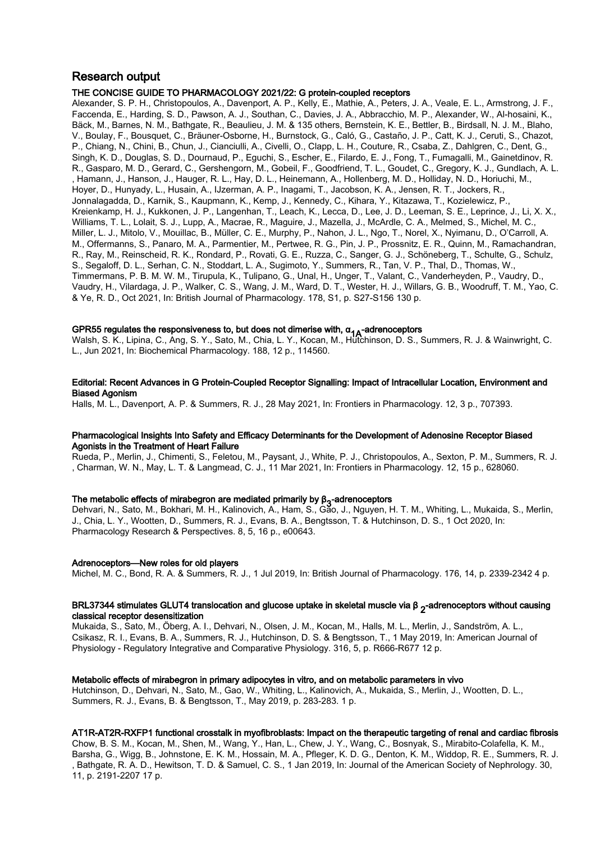## Research output

#### THE CONCISE GUIDE TO PHARMACOLOGY 2021/22: G protein-coupled receptors

Alexander, S. P. H., Christopoulos, A., Davenport, A. P., Kelly, E., Mathie, A., Peters, J. A., Veale, E. L., Armstrong, J. F., Faccenda, E., Harding, S. D., Pawson, A. J., Southan, C., Davies, J. A., Abbracchio, M. P., Alexander, W., Al-hosaini, K., Bäck, M., Barnes, N. M., Bathgate, R., Beaulieu, J. M. & 135 others, Bernstein, K. E., Bettler, B., Birdsall, N. J. M., Blaho, V., Boulay, F., Bousquet, C., Bräuner-Osborne, H., Burnstock, G., Caló, G., Castaño, J. P., Catt, K. J., Ceruti, S., Chazot, P., Chiang, N., Chini, B., Chun, J., Cianciulli, A., Civelli, O., Clapp, L. H., Couture, R., Csaba, Z., Dahlgren, C., Dent, G., Singh, K. D., Douglas, S. D., Dournaud, P., Eguchi, S., Escher, E., Filardo, E. J., Fong, T., Fumagalli, M., Gainetdinov, R. R., Gasparo, M. D., Gerard, C., Gershengorn, M., Gobeil, F., Goodfriend, T. L., Goudet, C., Gregory, K. J., Gundlach, A. L. , Hamann, J., Hanson, J., Hauger, R. L., Hay, D. L., Heinemann, A., Hollenberg, M. D., Holliday, N. D., Horiuchi, M., Hoyer, D., Hunyady, L., Husain, A., IJzerman, A. P., Inagami, T., Jacobson, K. A., Jensen, R. T., Jockers, R., Jonnalagadda, D., Karnik, S., Kaupmann, K., Kemp, J., Kennedy, C., Kihara, Y., Kitazawa, T., Kozielewicz, P., Kreienkamp, H. J., Kukkonen, J. P., Langenhan, T., Leach, K., Lecca, D., Lee, J. D., Leeman, S. E., Leprince, J., Li, X. X., Williams, T. L., Lolait, S. J., Lupp, A., Macrae, R., Maguire, J., Mazella, J., McArdle, C. A., Melmed, S., Michel, M. C., Miller, L. J., Mitolo, V., Mouillac, B., Müller, C. E., Murphy, P., Nahon, J. L., Ngo, T., Norel, X., Nyimanu, D., O'Carroll, A. M., Offermanns, S., Panaro, M. A., Parmentier, M., Pertwee, R. G., Pin, J. P., Prossnitz, E. R., Quinn, M., Ramachandran, R., Ray, M., Reinscheid, R. K., Rondard, P., Rovati, G. E., Ruzza, C., Sanger, G. J., Schöneberg, T., Schulte, G., Schulz, S., Segaloff, D. L., Serhan, C. N., Stoddart, L. A., Sugimoto, Y., Summers, R., Tan, V. P., Thal, D., Thomas, W., Timmermans, P. B. M. W. M., Tirupula, K., Tulipano, G., Unal, H., Unger, T., Valant, C., Vanderheyden, P., Vaudry, D., Vaudry, H., Vilardaga, J. P., Walker, C. S., Wang, J. M., Ward, D. T., Wester, H. J., Willars, G. B., Woodruff, T. M., Yao, C. & Ye, R. D., Oct 2021, In: British Journal of Pharmacology. 178, S1, p. S27-S156 130 p.

**GPR55 regulates the responsiveness to, but does not dimerise with, α<sub>1A</sub>-adrenoceptors**<br>Walsh, S. K., Lipina, C., Ang, S. Y., Sato, M., Chia, L. Y., Kocan, M., Hutchinson, D. S., Summers, R. J. & Wainwright, C. L., Jun 2021, In: Biochemical Pharmacology. 188, 12 p., 114560.

#### Editorial: Recent Advances in G Protein-Coupled Receptor Signalling: Impact of Intracellular Location, Environment and Biased Agonism

Halls, M. L., Davenport, A. P. & Summers, R. J., 28 May 2021, In: Frontiers in Pharmacology. 12, 3 p., 707393.

#### Pharmacological Insights Into Safety and Efficacy Determinants for the Development of Adenosine Receptor Biased Agonists in the Treatment of Heart Failure

Rueda, P., Merlin, J., Chimenti, S., Feletou, M., Paysant, J., White, P. J., Christopoulos, A., Sexton, P. M., Summers, R. J. , Charman, W. N., May, L. T. & Langmead, C. J., 11 Mar 2021, In: Frontiers in Pharmacology. 12, 15 p., 628060.

## The metabolic effects of mirabegron are mediated primarily by  $\beta_3$ -adrenoceptors

Dehvari, N., Sato, M., Bokhari, M. H., Kalinovich, A., Ham, S., Gao, J., Nguyen, H. T. M., Whiting, L., Mukaida, S., Merlin, J., Chia, L. Y., Wootten, D., Summers, R. J., Evans, B. A., Bengtsson, T. & Hutchinson, D. S., 1 Oct 2020, In: Pharmacology Research & Perspectives. 8, 5, 16 p., e00643.

#### Adrenoceptors—New roles for old players

Michel, M. C., Bond, R. A. & Summers, R. J., 1 Jul 2019, In: British Journal of Pharmacology. 176, 14, p. 2339-2342 4 p.

#### BRL37344 stimulates GLUT4 translocation and glucose uptake in skeletal muscle via β  $_2$ -adrenoceptors without causing<br>-lassiselsesenter deserviting classical receptor desensitization

Mukaida, S., Sato, M., Öberg, A. I., Dehvari, N., Olsen, J. M., Kocan, M., Halls, M. L., Merlin, J., Sandström, A. L., Csikasz, R. I., Evans, B. A., Summers, R. J., Hutchinson, D. S. & Bengtsson, T., 1 May 2019, In: American Journal of Physiology - Regulatory Integrative and Comparative Physiology. 316, 5, p. R666-R677 12 p.

#### Metabolic effects of mirabegron in primary adipocytes in vitro, and on metabolic parameters in vivo

Hutchinson, D., Dehvari, N., Sato, M., Gao, W., Whiting, L., Kalinovich, A., Mukaida, S., Merlin, J., Wootten, D. L., Summers, R. J., Evans, B. & Bengtsson, T., May 2019, p. 283-283. 1 p.

#### AT1R-AT2R-RXFP1 functional crosstalk in myofibroblasts: Impact on the therapeutic targeting of renal and cardiac fibrosis

Chow, B. S. M., Kocan, M., Shen, M., Wang, Y., Han, L., Chew, J. Y., Wang, C., Bosnyak, S., Mirabito-Colafella, K. M., Barsha, G., Wigg, B., Johnstone, E. K. M., Hossain, M. A., Pfleger, K. D. G., Denton, K. M., Widdop, R. E., Summers, R. J. , Bathgate, R. A. D., Hewitson, T. D. & Samuel, C. S., 1 Jan 2019, In: Journal of the American Society of Nephrology. 30, 11, p. 2191-2207 17 p.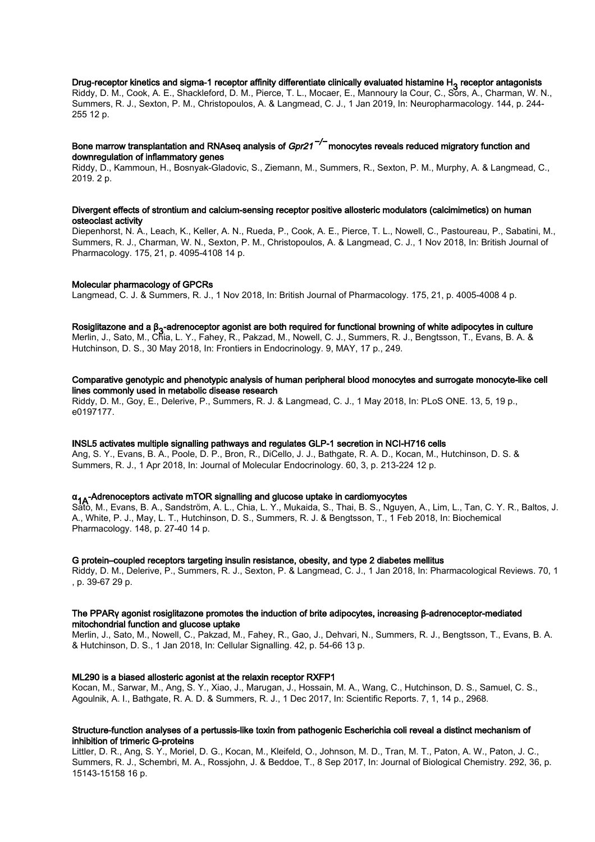## Drug-receptor kinetics and sigma-1 receptor affinity differentiate clinically evaluated histamine H<sub>3</sub> receptor antagonists<br>Ritcher B.M. Gashe A. E. Shackketsed B.M. Bisses T.L. Massas E. Massassed Gasse G. Sara A. Shaccas

Riddy, D. M., Cook, A. E., Shackleford, D. M., Pierce, T. L., Mocaer, E., Mannoury la Cour, C., Sors, A., Charman, W. N., Summers, R. J., Sexton, P. M., Christopoulos, A. & Langmead, C. J., 1 Jan 2019, In: Neuropharmacology. 144, p. 244- 255 12 p.

#### Bone marrow transplantation and RNAseq analysis of *Gpr21<sup>−/−</sup>* monocytes reveals reduced migratory function and downregulation of inflammatory genes

Riddy, D., Kammoun, H., Bosnyak-Gladovic, S., Ziemann, M., Summers, R., Sexton, P. M., Murphy, A. & Langmead, C., 2019. 2 p.

#### Divergent effects of strontium and calcium-sensing receptor positive allosteric modulators (calcimimetics) on human osteoclast activity

Diepenhorst, N. A., Leach, K., Keller, A. N., Rueda, P., Cook, A. E., Pierce, T. L., Nowell, C., Pastoureau, P., Sabatini, M., Summers, R. J., Charman, W. N., Sexton, P. M., Christopoulos, A. & Langmead, C. J., 1 Nov 2018, In: British Journal of Pharmacology. 175, 21, p. 4095-4108 14 p.

#### Molecular pharmacology of GPCRs

Langmead, C. J. & Summers, R. J., 1 Nov 2018, In: British Journal of Pharmacology. 175, 21, p. 4005-4008 4 p.

## Rosiglitazone and a β<sub>3</sub>-adrenoceptor agonist are both required for functional browning of white adipocytes in culture<br>Martin de Sata Mar Stine best and Fabrica Delegate Mar Naural October and Delegate and Targeta Delegat

Merlin, J., Sato, M., Chia, L. Y., Fahey, R., Pakzad, M., Nowell, C. J., Summers, R. J., Bengtsson, T., Evans, B. A. & Hutchinson, D. S., 30 May 2018, In: Frontiers in Endocrinology. 9, MAY, 17 p., 249.

#### Comparative genotypic and phenotypic analysis of human peripheral blood monocytes and surrogate monocyte-like cell lines commonly used in metabolic disease research

Riddy, D. M., Goy, E., Delerive, P., Summers, R. J. & Langmead, C. J., 1 May 2018, In: PLoS ONE. 13, 5, 19 p., e0197177.

#### INSL5 activates multiple signalling pathways and regulates GLP-1 secretion in NCI-H716 cells

Ang, S. Y., Evans, B. A., Poole, D. P., Bron, R., DiCello, J. J., Bathgate, R. A. D., Kocan, M., Hutchinson, D. S. & Summers, R. J., 1 Apr 2018, In: Journal of Molecular Endocrinology. 60, 3, p. 213-224 12 p.

## α<sub>1A</sub>-Adrenoceptors activate mTOR signalling and glucose uptake in cardiomyocytes<br>SAA MUEVORS B. A. Sandatrijas A. L. Chia L. V. Mukaida S. Thai B. S. Navy

Sato, M., Evans, B. A., Sandström, A. L., Chia, L. Y., Mukaida, S., Thai, B. S., Nguyen, A., Lim, L., Tan, C. Y. R., Baltos, J. A., White, P. J., May, L. T., Hutchinson, D. S., Summers, R. J. & Bengtsson, T., 1 Feb 2018, In: Biochemical Pharmacology. 148, p. 27-40 14 p.

#### G protein–coupled receptors targeting insulin resistance, obesity, and type 2 diabetes mellitus

Riddy, D. M., Delerive, P., Summers, R. J., Sexton, P. & Langmead, C. J., 1 Jan 2018, In: Pharmacological Reviews. 70, 1 , p. 39-67 29 p.

#### The PPARγ agonist rosiglitazone promotes the induction of brite adipocytes, increasing β-adrenoceptor-mediated mitochondrial function and glucose uptake

Merlin, J., Sato, M., Nowell, C., Pakzad, M., Fahey, R., Gao, J., Dehvari, N., Summers, R. J., Bengtsson, T., Evans, B. A. & Hutchinson, D. S., 1 Jan 2018, In: Cellular Signalling. 42, p. 54-66 13 p.

#### ML290 is a biased allosteric agonist at the relaxin receptor RXFP1

Kocan, M., Sarwar, M., Ang, S. Y., Xiao, J., Marugan, J., Hossain, M. A., Wang, C., Hutchinson, D. S., Samuel, C. S., Agoulnik, A. I., Bathgate, R. A. D. & Summers, R. J., 1 Dec 2017, In: Scientific Reports. 7, 1, 14 p., 2968.

#### Structure-function analyses of a pertussis-like toxin from pathogenic Escherichia coli reveal a distinct mechanism of inhibition of trimeric G-proteins

Littler, D. R., Ang, S. Y., Moriel, D. G., Kocan, M., Kleifeld, O., Johnson, M. D., Tran, M. T., Paton, A. W., Paton, J. C., Summers, R. J., Schembri, M. A., Rossjohn, J. & Beddoe, T., 8 Sep 2017, In: Journal of Biological Chemistry. 292, 36, p. 15143-15158 16 p.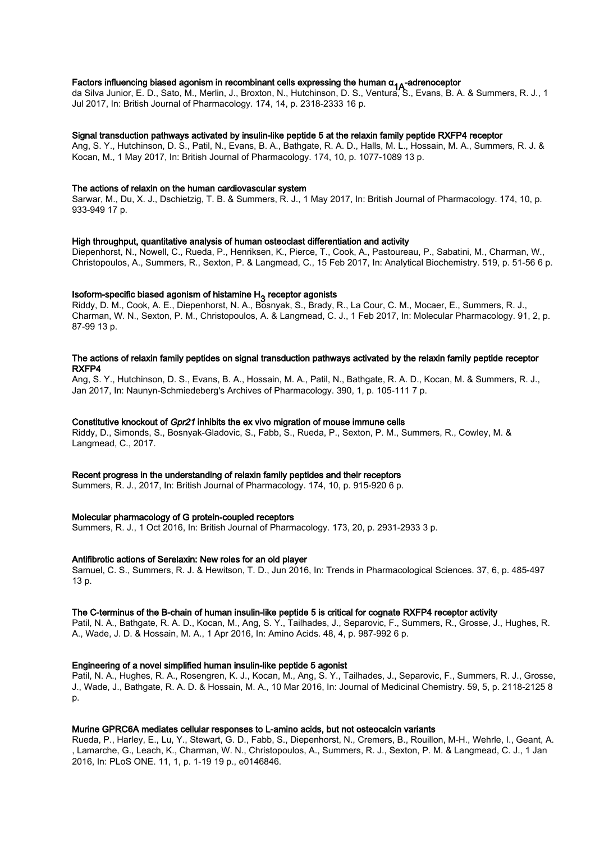**Factors influencing biased agonism in recombinant cells expressing the human α<sub>1A</sub>-adrenoceptor<br>da Silva Junior, E. D., Sato, M., Merlin, J., Broxton, N., Hutchinson, D. S., Ventura, S., Evans, B. A. & Summers, R. J., 1** Jul 2017, In: British Journal of Pharmacology. 174, 14, p. 2318-2333 16 p.

#### Signal transduction pathways activated by insulin-like peptide 5 at the relaxin family peptide RXFP4 receptor

Ang, S. Y., Hutchinson, D. S., Patil, N., Evans, B. A., Bathgate, R. A. D., Halls, M. L., Hossain, M. A., Summers, R. J. & Kocan, M., 1 May 2017, In: British Journal of Pharmacology. 174, 10, p. 1077-1089 13 p.

#### The actions of relaxin on the human cardiovascular system

Sarwar, M., Du, X. J., Dschietzig, T. B. & Summers, R. J., 1 May 2017, In: British Journal of Pharmacology. 174, 10, p. 933-949 17 p.

#### High throughput, quantitative analysis of human osteoclast differentiation and activity

Diepenhorst, N., Nowell, C., Rueda, P., Henriksen, K., Pierce, T., Cook, A., Pastoureau, P., Sabatini, M., Charman, W., Christopoulos, A., Summers, R., Sexton, P. & Langmead, C., 15 Feb 2017, In: Analytical Biochemistry. 519, p. 51-56 6 p.

### Isoform-specific biased agonism of histamine H<sub>3</sub> receptor agonists

Riddy, D. M., Cook, A. E., Diepenhorst, N. A., Bosnyak, S., Brady, R., La Cour, C. M., Mocaer, E., Summers, R. J., Charman, W. N., Sexton, P. M., Christopoulos, A. & Langmead, C. J., 1 Feb 2017, In: Molecular Pharmacology. 91, 2, p. 87-99 13 p.

#### The actions of relaxin family peptides on signal transduction pathways activated by the relaxin family peptide receptor RXFP4

Ang, S. Y., Hutchinson, D. S., Evans, B. A., Hossain, M. A., Patil, N., Bathgate, R. A. D., Kocan, M. & Summers, R. J., Jan 2017, In: Naunyn-Schmiedeberg's Archives of Pharmacology. 390, 1, p. 105-111 7 p.

#### Constitutive knockout of Gpr21 inhibits the ex vivo migration of mouse immune cells

Riddy, D., Simonds, S., Bosnyak-Gladovic, S., Fabb, S., Rueda, P., Sexton, P. M., Summers, R., Cowley, M. & Langmead, C., 2017.

#### Recent progress in the understanding of relaxin family peptides and their receptors

Summers, R. J., 2017, In: British Journal of Pharmacology. 174, 10, p. 915-920 6 p.

#### Molecular pharmacology of G protein-coupled receptors

Summers, R. J., 1 Oct 2016, In: British Journal of Pharmacology. 173, 20, p. 2931-2933 3 p.

#### Antifibrotic actions of Serelaxin: New roles for an old player

Samuel, C. S., Summers, R. J. & Hewitson, T. D., Jun 2016, In: Trends in Pharmacological Sciences. 37, 6, p. 485-497 13 p.

#### The C-terminus of the B-chain of human insulin-like peptide 5 is critical for cognate RXFP4 receptor activity

Patil, N. A., Bathgate, R. A. D., Kocan, M., Ang, S. Y., Tailhades, J., Separovic, F., Summers, R., Grosse, J., Hughes, R. A., Wade, J. D. & Hossain, M. A., 1 Apr 2016, In: Amino Acids. 48, 4, p. 987-992 6 p.

#### Engineering of a novel simplified human insulin-like peptide 5 agonist

Patil, N. A., Hughes, R. A., Rosengren, K. J., Kocan, M., Ang, S. Y., Tailhades, J., Separovic, F., Summers, R. J., Grosse, J., Wade, J., Bathgate, R. A. D. & Hossain, M. A., 10 Mar 2016, In: Journal of Medicinal Chemistry. 59, 5, p. 2118-2125 8 p.

#### Murine GPRC6A mediates cellular responses to L-amino acids, but not osteocalcin variants

Rueda, P., Harley, E., Lu, Y., Stewart, G. D., Fabb, S., Diepenhorst, N., Cremers, B., Rouillon, M-H., Wehrle, I., Geant, A. , Lamarche, G., Leach, K., Charman, W. N., Christopoulos, A., Summers, R. J., Sexton, P. M. & Langmead, C. J., 1 Jan 2016, In: PLoS ONE. 11, 1, p. 1-19 19 p., e0146846.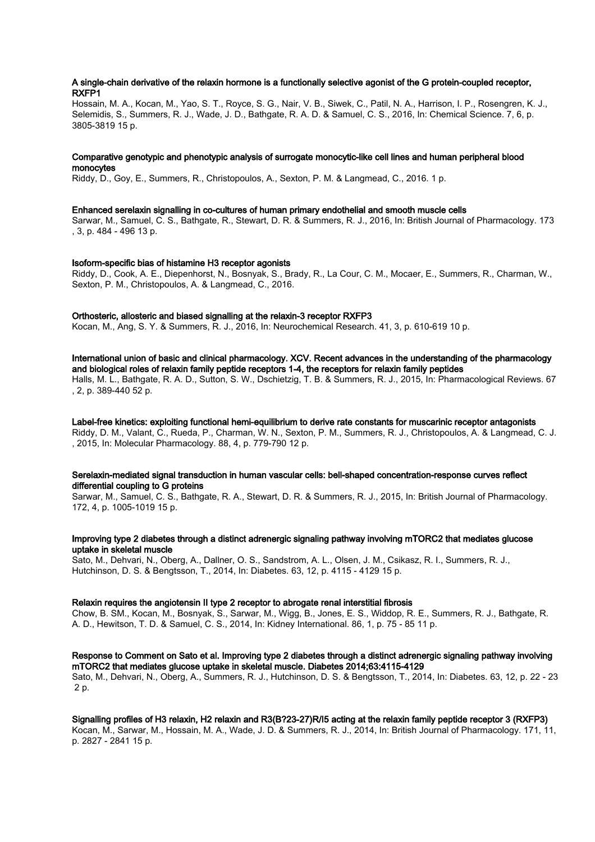#### A single-chain derivative of the relaxin hormone is a functionally selective agonist of the G protein-coupled receptor, RXFP1

Hossain, M. A., Kocan, M., Yao, S. T., Royce, S. G., Nair, V. B., Siwek, C., Patil, N. A., Harrison, I. P., Rosengren, K. J., Selemidis, S., Summers, R. J., Wade, J. D., Bathgate, R. A. D. & Samuel, C. S., 2016, In: Chemical Science. 7, 6, p. 3805-3819 15 p.

#### Comparative genotypic and phenotypic analysis of surrogate monocytic-like cell lines and human peripheral blood monocytes

Riddy, D., Goy, E., Summers, R., Christopoulos, A., Sexton, P. M. & Langmead, C., 2016. 1 p.

#### Enhanced serelaxin signalling in co-cultures of human primary endothelial and smooth muscle cells

Sarwar, M., Samuel, C. S., Bathgate, R., Stewart, D. R. & Summers, R. J., 2016, In: British Journal of Pharmacology. 173 , 3, p. 484 - 496 13 p.

#### Isoform-specific bias of histamine H3 receptor agonists

Riddy, D., Cook, A. E., Diepenhorst, N., Bosnyak, S., Brady, R., La Cour, C. M., Mocaer, E., Summers, R., Charman, W., Sexton, P. M., Christopoulos, A. & Langmead, C., 2016.

#### Orthosteric, allosteric and biased signalling at the relaxin-3 receptor RXFP3

Kocan, M., Ang, S. Y. & Summers, R. J., 2016, In: Neurochemical Research. 41, 3, p. 610-619 10 p.

International union of basic and clinical pharmacology. XCV. Recent advances in the understanding of the pharmacology and biological roles of relaxin family peptide receptors 1-4, the receptors for relaxin family peptides Halls, M. L., Bathgate, R. A. D., Sutton, S. W., Dschietzig, T. B. & Summers, R. J., 2015, In: Pharmacological Reviews. 67 , 2, p. 389-440 52 p.

### Label-free kinetics: exploiting functional hemi-equilibrium to derive rate constants for muscarinic receptor antagonists

Riddy, D. M., Valant, C., Rueda, P., Charman, W. N., Sexton, P. M., Summers, R. J., Christopoulos, A. & Langmead, C. J. , 2015, In: Molecular Pharmacology. 88, 4, p. 779-790 12 p.

#### Serelaxin-mediated signal transduction in human vascular cells: bell-shaped concentration-response curves reflect differential coupling to G proteins

Sarwar, M., Samuel, C. S., Bathgate, R. A., Stewart, D. R. & Summers, R. J., 2015, In: British Journal of Pharmacology. 172, 4, p. 1005-1019 15 p.

#### Improving type 2 diabetes through a distinct adrenergic signaling pathway involving mTORC2 that mediates glucose uptake in skeletal muscle

Sato, M., Dehvari, N., Oberg, A., Dallner, O. S., Sandstrom, A. L., Olsen, J. M., Csikasz, R. I., Summers, R. J., Hutchinson, D. S. & Bengtsson, T., 2014, In: Diabetes. 63, 12, p. 4115 - 4129 15 p.

#### Relaxin requires the angiotensin II type 2 receptor to abrogate renal interstitial fibrosis

Chow, B. SM., Kocan, M., Bosnyak, S., Sarwar, M., Wigg, B., Jones, E. S., Widdop, R. E., Summers, R. J., Bathgate, R. A. D., Hewitson, T. D. & Samuel, C. S., 2014, In: Kidney International. 86, 1, p. 75 - 85 11 p.

#### Response to Comment on Sato et al. Improving type 2 diabetes through a distinct adrenergic signaling pathway involving mTORC2 that mediates glucose uptake in skeletal muscle. Diabetes 2014;63:4115-4129

Sato, M., Dehvari, N., Oberg, A., Summers, R. J., Hutchinson, D. S. & Bengtsson, T., 2014, In: Diabetes. 63, 12, p. 22 - 23 2 p.

#### Signalling profiles of H3 relaxin, H2 relaxin and R3(B?23-27)R/I5 acting at the relaxin family peptide receptor 3 (RXFP3)

Kocan, M., Sarwar, M., Hossain, M. A., Wade, J. D. & Summers, R. J., 2014, In: British Journal of Pharmacology. 171, 11, p. 2827 - 2841 15 p.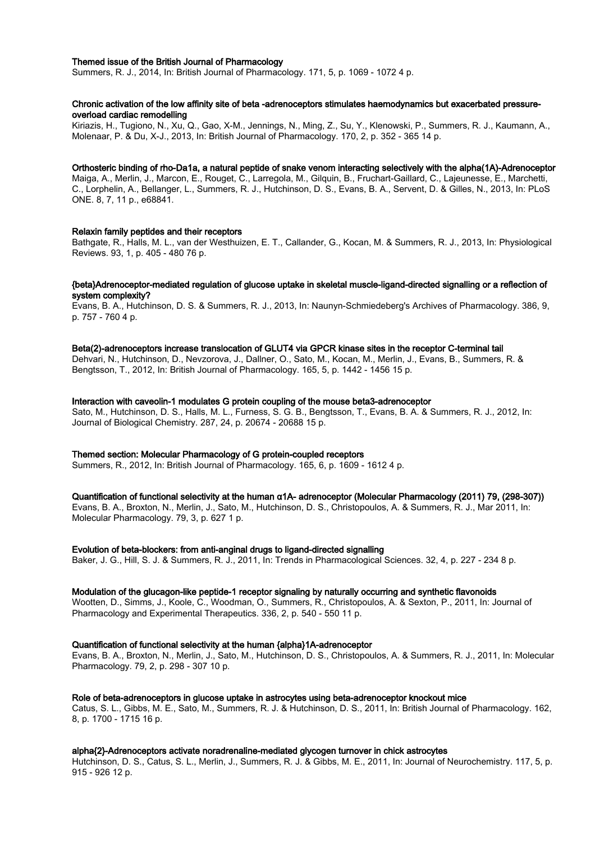#### Themed issue of the British Journal of Pharmacology

Summers, R. J., 2014, In: British Journal of Pharmacology. 171, 5, p. 1069 - 1072 4 p.

#### Chronic activation of the low affinity site of beta -adrenoceptors stimulates haemodynamics but exacerbated pressureoverload cardiac remodelling

Kiriazis, H., Tugiono, N., Xu, Q., Gao, X-M., Jennings, N., Ming, Z., Su, Y., Klenowski, P., Summers, R. J., Kaumann, A., Molenaar, P. & Du, X-J., 2013, In: British Journal of Pharmacology. 170, 2, p. 352 - 365 14 p.

#### Orthosteric binding of rho-Da1a, a natural peptide of snake venom interacting selectively with the alpha(1A)-Adrenoceptor

Maiga, A., Merlin, J., Marcon, E., Rouget, C., Larregola, M., Gilquin, B., Fruchart-Gaillard, C., Lajeunesse, E., Marchetti, C., Lorphelin, A., Bellanger, L., Summers, R. J., Hutchinson, D. S., Evans, B. A., Servent, D. & Gilles, N., 2013, In: PLoS ONE. 8, 7, 11 p., e68841.

#### Relaxin family peptides and their receptors

Bathgate, R., Halls, M. L., van der Westhuizen, E. T., Callander, G., Kocan, M. & Summers, R. J., 2013, In: Physiological Reviews. 93, 1, p. 405 - 480 76 p.

#### {beta}Adrenoceptor-mediated regulation of glucose uptake in skeletal muscle-ligand-directed signalling or a reflection of system complexity?

Evans, B. A., Hutchinson, D. S. & Summers, R. J., 2013, In: Naunyn-Schmiedeberg's Archives of Pharmacology. 386, 9, p. 757 - 760 4 p.

#### Beta(2)-adrenoceptors increase translocation of GLUT4 via GPCR kinase sites in the receptor C-terminal tail

Dehvari, N., Hutchinson, D., Nevzorova, J., Dallner, O., Sato, M., Kocan, M., Merlin, J., Evans, B., Summers, R. & Bengtsson, T., 2012, In: British Journal of Pharmacology. 165, 5, p. 1442 - 1456 15 p.

#### Interaction with caveolin-1 modulates G protein coupling of the mouse beta3-adrenoceptor

Sato, M., Hutchinson, D. S., Halls, M. L., Furness, S. G. B., Bengtsson, T., Evans, B. A. & Summers, R. J., 2012, In: Journal of Biological Chemistry. 287, 24, p. 20674 - 20688 15 p.

#### Themed section: Molecular Pharmacology of G protein-coupled receptors

Summers, R., 2012, In: British Journal of Pharmacology. 165, 6, p. 1609 - 1612 4 p.

#### Quantification of functional selectivity at the human α1A- adrenoceptor (Molecular Pharmacology (2011) 79, (298-307))

Evans, B. A., Broxton, N., Merlin, J., Sato, M., Hutchinson, D. S., Christopoulos, A. & Summers, R. J., Mar 2011, In: Molecular Pharmacology. 79, 3, p. 627 1 p.

Evolution of beta-blockers: from anti-anginal drugs to ligand-directed signalling

Baker, J. G., Hill, S. J. & Summers, R. J., 2011, In: Trends in Pharmacological Sciences. 32, 4, p. 227 - 234 8 p.

#### Modulation of the glucagon-like peptide-1 receptor signaling by naturally occurring and synthetic flavonoids

Wootten, D., Simms, J., Koole, C., Woodman, O., Summers, R., Christopoulos, A. & Sexton, P., 2011, In: Journal of Pharmacology and Experimental Therapeutics. 336, 2, p. 540 - 550 11 p.

#### Quantification of functional selectivity at the human {alpha}1A-adrenoceptor

Evans, B. A., Broxton, N., Merlin, J., Sato, M., Hutchinson, D. S., Christopoulos, A. & Summers, R. J., 2011, In: Molecular Pharmacology. 79, 2, p. 298 - 307 10 p.

#### Role of beta-adrenoceptors in glucose uptake in astrocytes using beta-adrenoceptor knockout mice

Catus, S. L., Gibbs, M. E., Sato, M., Summers, R. J. & Hutchinson, D. S., 2011, In: British Journal of Pharmacology. 162, 8, p. 1700 - 1715 16 p.

#### alpha{2}-Adrenoceptors activate noradrenaline-mediated glycogen turnover in chick astrocytes

Hutchinson, D. S., Catus, S. L., Merlin, J., Summers, R. J. & Gibbs, M. E., 2011, In: Journal of Neurochemistry. 117, 5, p. 915 - 926 12 p.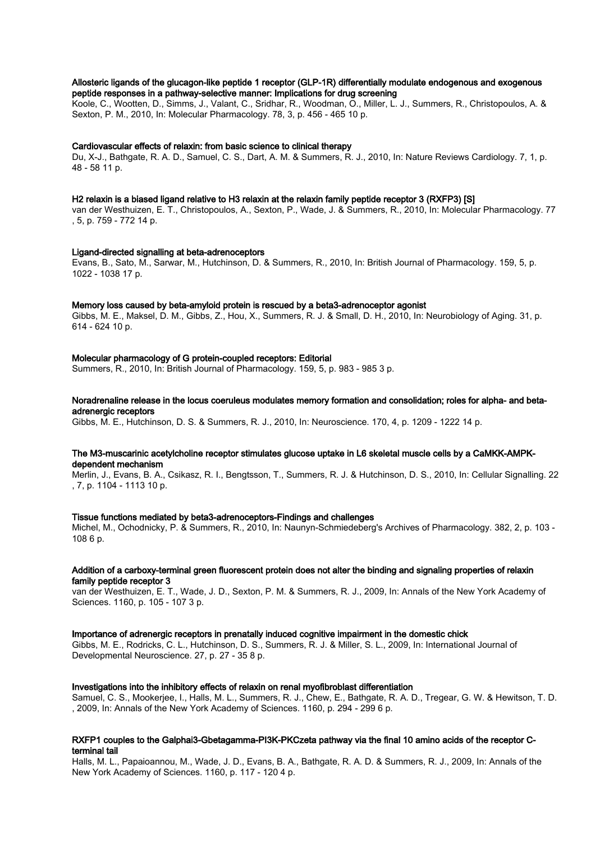#### Allosteric ligands of the glucagon-like peptide 1 receptor (GLP-1R) differentially modulate endogenous and exogenous peptide responses in a pathway-selective manner: Implications for drug screening

Koole, C., Wootten, D., Simms, J., Valant, C., Sridhar, R., Woodman, O., Miller, L. J., Summers, R., Christopoulos, A. & Sexton, P. M., 2010, In: Molecular Pharmacology. 78, 3, p. 456 - 465 10 p.

#### Cardiovascular effects of relaxin: from basic science to clinical therapy

Du, X-J., Bathgate, R. A. D., Samuel, C. S., Dart, A. M. & Summers, R. J., 2010, In: Nature Reviews Cardiology. 7, 1, p. 48 - 58 11 p.

#### H2 relaxin is a biased ligand relative to H3 relaxin at the relaxin family peptide receptor 3 (RXFP3) [S]

van der Westhuizen, E. T., Christopoulos, A., Sexton, P., Wade, J. & Summers, R., 2010, In: Molecular Pharmacology. 77 , 5, p. 759 - 772 14 p.

#### Ligand-directed signalling at beta-adrenoceptors

Evans, B., Sato, M., Sarwar, M., Hutchinson, D. & Summers, R., 2010, In: British Journal of Pharmacology. 159, 5, p. 1022 - 1038 17 p.

#### Memory loss caused by beta-amyloid protein is rescued by a beta3-adrenoceptor agonist

Gibbs, M. E., Maksel, D. M., Gibbs, Z., Hou, X., Summers, R. J. & Small, D. H., 2010, In: Neurobiology of Aging. 31, p. 614 - 624 10 p.

#### Molecular pharmacology of G protein-coupled receptors: Editorial

Summers, R., 2010, In: British Journal of Pharmacology. 159, 5, p. 983 - 985 3 p.

#### Noradrenaline release in the locus coeruleus modulates memory formation and consolidation; roles for alpha- and betaadrenergic receptors

Gibbs, M. E., Hutchinson, D. S. & Summers, R. J., 2010, In: Neuroscience. 170, 4, p. 1209 - 1222 14 p.

#### The M3-muscarinic acetylcholine receptor stimulates glucose uptake in L6 skeletal muscle cells by a CaMKK-AMPKdependent mechanism

Merlin, J., Evans, B. A., Csikasz, R. I., Bengtsson, T., Summers, R. J. & Hutchinson, D. S., 2010, In: Cellular Signalling. 22 , 7, p. 1104 - 1113 10 p.

#### Tissue functions mediated by beta3-adrenoceptors-Findings and challenges

Michel, M., Ochodnicky, P. & Summers, R., 2010, In: Naunyn-Schmiedeberg's Archives of Pharmacology. 382, 2, p. 103 - 108 6 p.

#### Addition of a carboxy-terminal green fluorescent protein does not alter the binding and signaling properties of relaxin family peptide receptor 3

van der Westhuizen, E. T., Wade, J. D., Sexton, P. M. & Summers, R. J., 2009, In: Annals of the New York Academy of Sciences. 1160, p. 105 - 107 3 p.

#### Importance of adrenergic receptors in prenatally induced cognitive impairment in the domestic chick

Gibbs, M. E., Rodricks, C. L., Hutchinson, D. S., Summers, R. J. & Miller, S. L., 2009, In: International Journal of Developmental Neuroscience. 27, p. 27 - 35 8 p.

#### Investigations into the inhibitory effects of relaxin on renal myofibroblast differentiation

Samuel, C. S., Mookerjee, I., Halls, M. L., Summers, R. J., Chew, E., Bathgate, R. A. D., Tregear, G. W. & Hewitson, T. D. , 2009, In: Annals of the New York Academy of Sciences. 1160, p. 294 - 299 6 p.

#### RXFP1 couples to the Galphai3-Gbetagamma-PI3K-PKCzeta pathway via the final 10 amino acids of the receptor Cterminal tail

Halls, M. L., Papaioannou, M., Wade, J. D., Evans, B. A., Bathgate, R. A. D. & Summers, R. J., 2009, In: Annals of the New York Academy of Sciences. 1160, p. 117 - 120 4 p.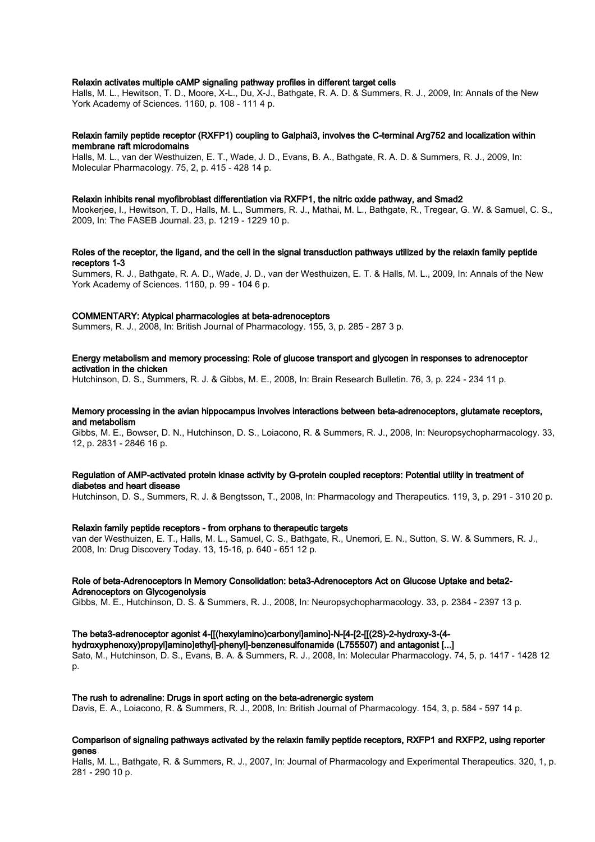#### Relaxin activates multiple cAMP signaling pathway profiles in different target cells

Halls, M. L., Hewitson, T. D., Moore, X-L., Du, X-J., Bathgate, R. A. D. & Summers, R. J., 2009, In: Annals of the New York Academy of Sciences. 1160, p. 108 - 111 4 p.

#### Relaxin family peptide receptor (RXFP1) coupling to Galphai3, involves the C-terminal Arg752 and localization within membrane raft microdomains

Halls, M. L., van der Westhuizen, E. T., Wade, J. D., Evans, B. A., Bathgate, R. A. D. & Summers, R. J., 2009, In: Molecular Pharmacology. 75, 2, p. 415 - 428 14 p.

#### Relaxin inhibits renal myofibroblast differentiation via RXFP1, the nitric oxide pathway, and Smad2

Mookerjee, I., Hewitson, T. D., Halls, M. L., Summers, R. J., Mathai, M. L., Bathgate, R., Tregear, G. W. & Samuel, C. S., 2009, In: The FASEB Journal. 23, p. 1219 - 1229 10 p.

#### Roles of the receptor, the ligand, and the cell in the signal transduction pathways utilized by the relaxin family peptide receptors 1-3

Summers, R. J., Bathgate, R. A. D., Wade, J. D., van der Westhuizen, E. T. & Halls, M. L., 2009, In: Annals of the New York Academy of Sciences. 1160, p. 99 - 104 6 p.

#### COMMENTARY: Atypical pharmacologies at beta-adrenoceptors

Summers, R. J., 2008, In: British Journal of Pharmacology. 155, 3, p. 285 - 287 3 p.

#### Energy metabolism and memory processing: Role of glucose transport and glycogen in responses to adrenoceptor activation in the chicken

Hutchinson, D. S., Summers, R. J. & Gibbs, M. E., 2008, In: Brain Research Bulletin. 76, 3, p. 224 - 234 11 p.

#### Memory processing in the avian hippocampus involves interactions between beta-adrenoceptors, glutamate receptors, and metabolism

Gibbs, M. E., Bowser, D. N., Hutchinson, D. S., Loiacono, R. & Summers, R. J., 2008, In: Neuropsychopharmacology. 33, 12, p. 2831 - 2846 16 p.

#### Regulation of AMP-activated protein kinase activity by G-protein coupled receptors: Potential utility in treatment of diabetes and heart disease

Hutchinson, D. S., Summers, R. J. & Bengtsson, T., 2008, In: Pharmacology and Therapeutics. 119, 3, p. 291 - 310 20 p.

#### Relaxin family peptide receptors - from orphans to therapeutic targets

van der Westhuizen, E. T., Halls, M. L., Samuel, C. S., Bathgate, R., Unemori, E. N., Sutton, S. W. & Summers, R. J., 2008, In: Drug Discovery Today. 13, 15-16, p. 640 - 651 12 p.

#### Role of beta-Adrenoceptors in Memory Consolidation: beta3-Adrenoceptors Act on Glucose Uptake and beta2- Adrenoceptors on Glycogenolysis

Gibbs, M. E., Hutchinson, D. S. & Summers, R. J., 2008, In: Neuropsychopharmacology. 33, p. 2384 - 2397 13 p.

#### The beta3-adrenoceptor agonist 4-[[(hexylamino)carbonyl]amino]-N-[4-[2-[[(2S)-2-hydroxy-3-(4-

hydroxyphenoxy)propyl]amino]ethyl]-phenyl]-benzenesulfonamide (L755507) and antagonist [...] Sato, M., Hutchinson, D. S., Evans, B. A. & Summers, R. J., 2008, In: Molecular Pharmacology. 74, 5, p. 1417 - 1428 12 p.

#### The rush to adrenaline: Drugs in sport acting on the beta-adrenergic system

Davis, E. A., Loiacono, R. & Summers, R. J., 2008, In: British Journal of Pharmacology. 154, 3, p. 584 - 597 14 p.

#### Comparison of signaling pathways activated by the relaxin family peptide receptors, RXFP1 and RXFP2, using reporter genes

Halls, M. L., Bathgate, R. & Summers, R. J., 2007, In: Journal of Pharmacology and Experimental Therapeutics. 320, 1, p. 281 - 290 10 p.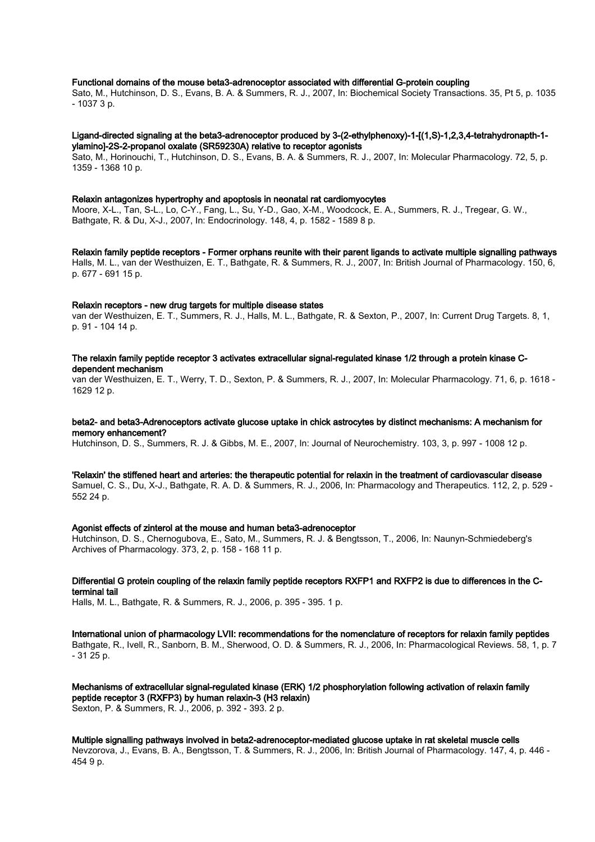#### Functional domains of the mouse beta3-adrenoceptor associated with differential G-protein coupling

Sato, M., Hutchinson, D. S., Evans, B. A. & Summers, R. J., 2007, In: Biochemical Society Transactions. 35, Pt 5, p. 1035 - 1037 3 p.

#### Ligand-directed signaling at the beta3-adrenoceptor produced by 3-(2-ethylphenoxy)-1-[(1,S)-1,2,3,4-tetrahydronapth-1 ylamino]-2S-2-propanol oxalate (SR59230A) relative to receptor agonists

Sato, M., Horinouchi, T., Hutchinson, D. S., Evans, B. A. & Summers, R. J., 2007, In: Molecular Pharmacology. 72, 5, p. 1359 - 1368 10 p.

#### Relaxin antagonizes hypertrophy and apoptosis in neonatal rat cardiomyocytes

Moore, X-L., Tan, S-L., Lo, C-Y., Fang, L., Su, Y-D., Gao, X-M., Woodcock, E. A., Summers, R. J., Tregear, G. W., Bathgate, R. & Du, X-J., 2007, In: Endocrinology. 148, 4, p. 1582 - 1589 8 p.

Relaxin family peptide receptors - Former orphans reunite with their parent ligands to activate multiple signalling pathways Halls, M. L., van der Westhuizen, E. T., Bathgate, R. & Summers, R. J., 2007, In: British Journal of Pharmacology. 150, 6, p. 677 - 691 15 p.

#### Relaxin receptors - new drug targets for multiple disease states

van der Westhuizen, E. T., Summers, R. J., Halls, M. L., Bathgate, R. & Sexton, P., 2007, In: Current Drug Targets. 8, 1, p. 91 - 104 14 p.

#### The relaxin family peptide receptor 3 activates extracellular signal-regulated kinase 1/2 through a protein kinase Cdependent mechanism

van der Westhuizen, E. T., Werry, T. D., Sexton, P. & Summers, R. J., 2007, In: Molecular Pharmacology. 71, 6, p. 1618 - 1629 12 p.

#### beta2- and beta3-Adrenoceptors activate glucose uptake in chick astrocytes by distinct mechanisms: A mechanism for memory enhancement?

Hutchinson, D. S., Summers, R. J. & Gibbs, M. E., 2007, In: Journal of Neurochemistry. 103, 3, p. 997 - 1008 12 p.

#### 'Relaxin' the stiffened heart and arteries: the therapeutic potential for relaxin in the treatment of cardiovascular disease

Samuel, C. S., Du, X-J., Bathgate, R. A. D. & Summers, R. J., 2006, In: Pharmacology and Therapeutics. 112, 2, p. 529 - 552 24 p.

#### Agonist effects of zinterol at the mouse and human beta3-adrenoceptor

Hutchinson, D. S., Chernogubova, E., Sato, M., Summers, R. J. & Bengtsson, T., 2006, In: Naunyn-Schmiedeberg's Archives of Pharmacology. 373, 2, p. 158 - 168 11 p.

#### Differential G protein coupling of the relaxin family peptide receptors RXFP1 and RXFP2 is due to differences in the Cterminal tail

Halls, M. L., Bathgate, R. & Summers, R. J., 2006, p. 395 - 395. 1 p.

International union of pharmacology LVII: recommendations for the nomenclature of receptors for relaxin family peptides Bathgate, R., Ivell, R., Sanborn, B. M., Sherwood, O. D. & Summers, R. J., 2006, In: Pharmacological Reviews. 58, 1, p. 7 - 31 25 p.

Mechanisms of extracellular signal-regulated kinase (ERK) 1/2 phosphorylation following activation of relaxin family peptide receptor 3 (RXFP3) by human relaxin-3 (H3 relaxin) Sexton, P. & Summers, R. J., 2006, p. 392 - 393. 2 p.

Multiple signalling pathways involved in beta2-adrenoceptor-mediated glucose uptake in rat skeletal muscle cells Nevzorova, J., Evans, B. A., Bengtsson, T. & Summers, R. J., 2006, In: British Journal of Pharmacology. 147, 4, p. 446 - 454 9 p.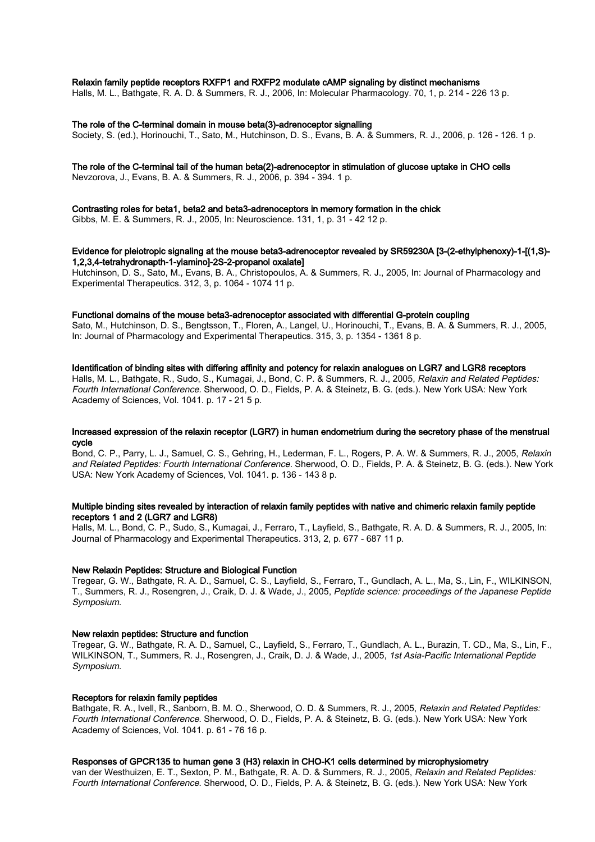#### Relaxin family peptide receptors RXFP1 and RXFP2 modulate cAMP signaling by distinct mechanisms

Halls, M. L., Bathgate, R. A. D. & Summers, R. J., 2006, In: Molecular Pharmacology. 70, 1, p. 214 - 226 13 p.

#### The role of the C-terminal domain in mouse beta(3)-adrenoceptor signalling

Society, S. (ed.), Horinouchi, T., Sato, M., Hutchinson, D. S., Evans, B. A. & Summers, R. J., 2006, p. 126 - 126. 1 p.

#### The role of the C-terminal tail of the human beta(2)-adrenoceptor in stimulation of glucose uptake in CHO cells

Nevzorova, J., Evans, B. A. & Summers, R. J., 2006, p. 394 - 394. 1 p.

### Contrasting roles for beta1, beta2 and beta3-adrenoceptors in memory formation in the chick

Gibbs, M. E. & Summers, R. J., 2005, In: Neuroscience. 131, 1, p. 31 - 42 12 p.

#### Evidence for pleiotropic signaling at the mouse beta3-adrenoceptor revealed by SR59230A [3-(2-ethylphenoxy)-1-[(1,S)- 1,2,3,4-tetrahydronapth-1-ylamino]-2S-2-propanol oxalate]

Hutchinson, D. S., Sato, M., Evans, B. A., Christopoulos, A. & Summers, R. J., 2005, In: Journal of Pharmacology and Experimental Therapeutics. 312, 3, p. 1064 - 1074 11 p.

#### Functional domains of the mouse beta3-adrenoceptor associated with differential G-protein coupling

Sato, M., Hutchinson, D. S., Bengtsson, T., Floren, A., Langel, U., Horinouchi, T., Evans, B. A. & Summers, R. J., 2005, In: Journal of Pharmacology and Experimental Therapeutics. 315, 3, p. 1354 - 1361 8 p.

#### Identification of binding sites with differing affinity and potency for relaxin analogues on LGR7 and LGR8 receptors

Halls, M. L., Bathgate, R., Sudo, S., Kumagai, J., Bond, C. P. & Summers, R. J., 2005, Relaxin and Related Peptides: Fourth International Conference. Sherwood, O. D., Fields, P. A. & Steinetz, B. G. (eds.). New York USA: New York Academy of Sciences, Vol. 1041. p. 17 - 21 5 p.

#### Increased expression of the relaxin receptor (LGR7) in human endometrium during the secretory phase of the menstrual cycle

Bond, C. P., Parry, L. J., Samuel, C. S., Gehring, H., Lederman, F. L., Rogers, P. A. W. & Summers, R. J., 2005, Relaxin and Related Peptides: Fourth International Conference. Sherwood, O. D., Fields, P. A. & Steinetz, B. G. (eds.). New York USA: New York Academy of Sciences, Vol. 1041. p. 136 - 143 8 p.

#### Multiple binding sites revealed by interaction of relaxin family peptides with native and chimeric relaxin family peptide receptors 1 and 2 (LGR7 and LGR8)

Halls, M. L., Bond, C. P., Sudo, S., Kumagai, J., Ferraro, T., Layfield, S., Bathgate, R. A. D. & Summers, R. J., 2005, In: Journal of Pharmacology and Experimental Therapeutics. 313, 2, p. 677 - 687 11 p.

#### New Relaxin Peptides: Structure and Biological Function

Tregear, G. W., Bathgate, R. A. D., Samuel, C. S., Layfield, S., Ferraro, T., Gundlach, A. L., Ma, S., Lin, F., WILKINSON, T., Summers, R. J., Rosengren, J., Craik, D. J. & Wade, J., 2005, Peptide science: proceedings of the Japanese Peptide Symposium.

#### New relaxin peptides: Structure and function

Tregear, G. W., Bathgate, R. A. D., Samuel, C., Layfield, S., Ferraro, T., Gundlach, A. L., Burazin, T. CD., Ma, S., Lin, F., WILKINSON, T., Summers, R. J., Rosengren, J., Craik, D. J. & Wade, J., 2005, 1st Asia-Pacific International Peptide Symposium.

#### Receptors for relaxin family peptides

Bathgate, R. A., Ivell, R., Sanborn, B. M. O., Sherwood, O. D. & Summers, R. J., 2005, Relaxin and Related Peptides: Fourth International Conference. Sherwood, O. D., Fields, P. A. & Steinetz, B. G. (eds.). New York USA: New York Academy of Sciences, Vol. 1041. p. 61 - 76 16 p.

#### Responses of GPCR135 to human gene 3 (H3) relaxin in CHO-K1 cells determined by microphysiometry

van der Westhuizen, E. T., Sexton, P. M., Bathgate, R. A. D. & Summers, R. J., 2005, Relaxin and Related Peptides: Fourth International Conference. Sherwood, O. D., Fields, P. A. & Steinetz, B. G. (eds.). New York USA: New York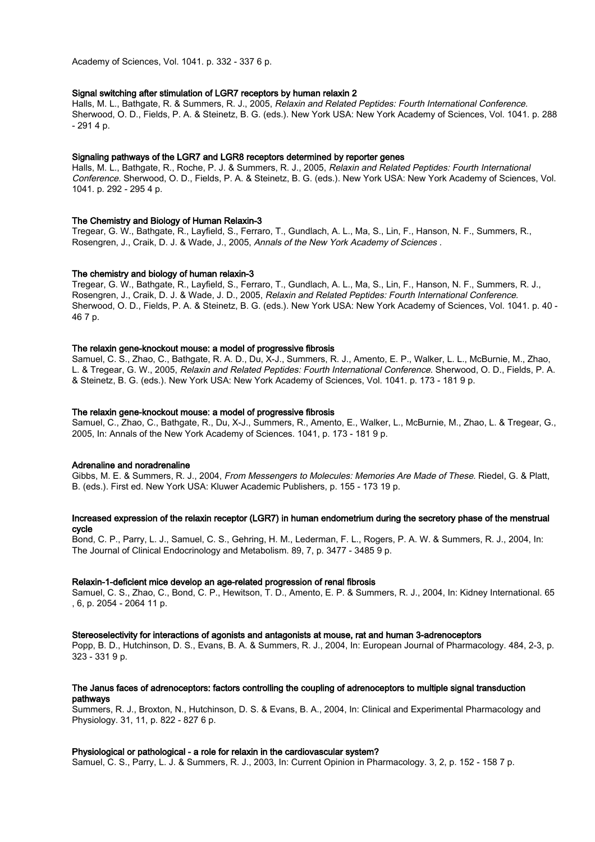Academy of Sciences, Vol. 1041. p. 332 - 337 6 p.

#### Signal switching after stimulation of LGR7 receptors by human relaxin 2

Halls, M. L., Bathgate, R. & Summers, R. J., 2005, Relaxin and Related Peptides: Fourth International Conference. Sherwood, O. D., Fields, P. A. & Steinetz, B. G. (eds.). New York USA: New York Academy of Sciences, Vol. 1041. p. 288 - 291 4 p.

#### Signaling pathways of the LGR7 and LGR8 receptors determined by reporter genes

Halls, M. L., Bathgate, R., Roche, P. J. & Summers, R. J., 2005, Relaxin and Related Peptides: Fourth International Conference. Sherwood, O. D., Fields, P. A. & Steinetz, B. G. (eds.). New York USA: New York Academy of Sciences, Vol. 1041. p. 292 - 295 4 p.

#### The Chemistry and Biology of Human Relaxin‐3

Tregear, G. W., Bathgate, R., Layfield, S., Ferraro, T., Gundlach, A. L., Ma, S., Lin, F., Hanson, N. F., Summers, R., Rosengren, J., Craik, D. J. & Wade, J., 2005, Annals of the New York Academy of Sciences .

#### The chemistry and biology of human relaxin-3

Tregear, G. W., Bathgate, R., Layfield, S., Ferraro, T., Gundlach, A. L., Ma, S., Lin, F., Hanson, N. F., Summers, R. J., Rosengren, J., Craik, D. J. & Wade, J. D., 2005, Relaxin and Related Peptides: Fourth International Conference. Sherwood, O. D., Fields, P. A. & Steinetz, B. G. (eds.). New York USA: New York Academy of Sciences, Vol. 1041. p. 40 - 46 7 p.

#### The relaxin gene-knockout mouse: a model of progressive fibrosis

Samuel, C. S., Zhao, C., Bathgate, R. A. D., Du, X-J., Summers, R. J., Amento, E. P., Walker, L. L., McBurnie, M., Zhao, L. & Tregear, G. W., 2005, Relaxin and Related Peptides: Fourth International Conference. Sherwood, O. D., Fields, P. A. & Steinetz, B. G. (eds.). New York USA: New York Academy of Sciences, Vol. 1041. p. 173 - 181 9 p.

#### The relaxin gene-knockout mouse: a model of progressive fibrosis

Samuel, C., Zhao, C., Bathgate, R., Du, X-J., Summers, R., Amento, E., Walker, L., McBurnie, M., Zhao, L. & Tregear, G., 2005, In: Annals of the New York Academy of Sciences. 1041, p. 173 - 181 9 p.

#### Adrenaline and noradrenaline

Gibbs, M. E. & Summers, R. J., 2004, From Messengers to Molecules: Memories Are Made of These. Riedel, G. & Platt, B. (eds.). First ed. New York USA: Kluwer Academic Publishers, p. 155 - 173 19 p.

#### Increased expression of the relaxin receptor (LGR7) in human endometrium during the secretory phase of the menstrual cycle

Bond, C. P., Parry, L. J., Samuel, C. S., Gehring, H. M., Lederman, F. L., Rogers, P. A. W. & Summers, R. J., 2004, In: The Journal of Clinical Endocrinology and Metabolism. 89, 7, p. 3477 - 3485 9 p.

#### Relaxin-1-deficient mice develop an age-related progression of renal fibrosis

Samuel, C. S., Zhao, C., Bond, C. P., Hewitson, T. D., Amento, E. P. & Summers, R. J., 2004, In: Kidney International. 65 , 6, p. 2054 - 2064 11 p.

#### Stereoselectivity for interactions of agonists and antagonists at mouse, rat and human 3-adrenoceptors

Popp, B. D., Hutchinson, D. S., Evans, B. A. & Summers, R. J., 2004, In: European Journal of Pharmacology. 484, 2-3, p. 323 - 331 9 p.

#### The Janus faces of adrenoceptors: factors controlling the coupling of adrenoceptors to multiple signal transduction pathways

Summers, R. J., Broxton, N., Hutchinson, D. S. & Evans, B. A., 2004, In: Clinical and Experimental Pharmacology and Physiology. 31, 11, p. 822 - 827 6 p.

#### Physiological or pathological - a role for relaxin in the cardiovascular system?

Samuel, C. S., Parry, L. J. & Summers, R. J., 2003, In: Current Opinion in Pharmacology. 3, 2, p. 152 - 158 7 p.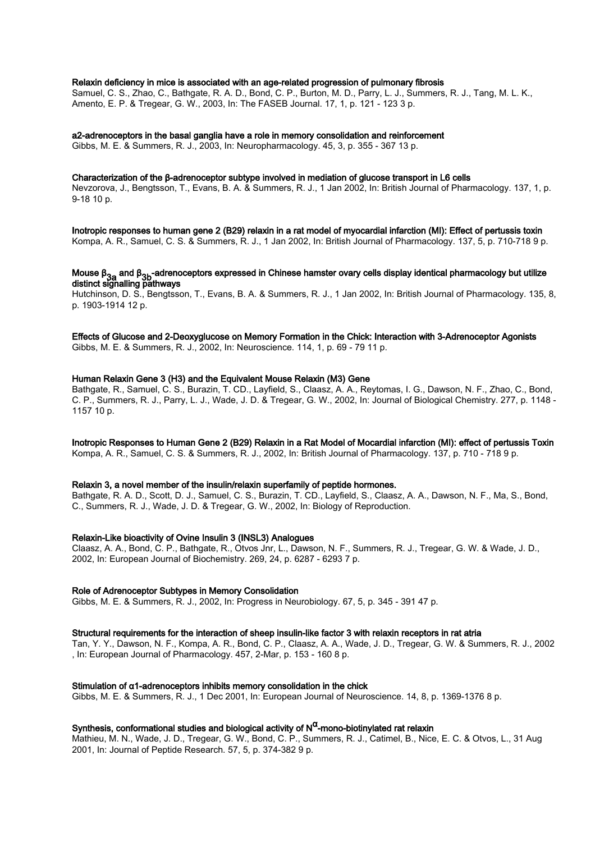Relaxin deficiency in mice is associated with an age-related progression of pulmonary fibrosis Samuel, C. S., Zhao, C., Bathgate, R. A. D., Bond, C. P., Burton, M. D., Parry, L. J., Summers, R. J., Tang, M. L. K.,

Amento, E. P. & Tregear, G. W., 2003, In: The FASEB Journal. 17, 1, p. 121 - 123 3 p.

a2-adrenoceptors in the basal ganglia have a role in memory consolidation and reinforcement Gibbs, M. E. & Summers, R. J., 2003, In: Neuropharmacology. 45, 3, p. 355 - 367 13 p.

#### Characterization of the β-adrenoceptor subtype involved in mediation of glucose transport in L6 cells

Nevzorova, J., Bengtsson, T., Evans, B. A. & Summers, R. J., 1 Jan 2002, In: British Journal of Pharmacology. 137, 1, p. 9-18 10 p.

Inotropic responses to human gene 2 (B29) relaxin in a rat model of myocardial infarction (MI): Effect of pertussis toxin Kompa, A. R., Samuel, C. S. & Summers, R. J., 1 Jan 2002, In: British Journal of Pharmacology. 137, 5, p. 710-718 9 p.

## Mouse β<sub>3a</sub> and β<sub>3b</sub>-adrenoceptors expressed in Chinese hamster ovary cells display identical pharmacology but utilize<br>distinct signalling pathways

Hutchinson, D. S., Bengtsson, T., Evans, B. A. & Summers, R. J., 1 Jan 2002, In: British Journal of Pharmacology. 135, 8, p. 1903-1914 12 p.

Effects of Glucose and 2-Deoxyglucose on Memory Formation in the Chick: Interaction with 3-Adrenoceptor Agonists Gibbs, M. E. & Summers, R. J., 2002, In: Neuroscience. 114, 1, p. 69 - 79 11 p.

#### Human Relaxin Gene 3 (H3) and the Equivalent Mouse Relaxin (M3) Gene

Bathgate, R., Samuel, C. S., Burazin, T. CD., Layfield, S., Claasz, A. A., Reytomas, I. G., Dawson, N. F., Zhao, C., Bond, C. P., Summers, R. J., Parry, L. J., Wade, J. D. & Tregear, G. W., 2002, In: Journal of Biological Chemistry. 277, p. 1148 - 1157 10 p.

Inotropic Responses to Human Gene 2 (B29) Relaxin in a Rat Model of Mocardial infarction (MI): effect of pertussis Toxin Kompa, A. R., Samuel, C. S. & Summers, R. J., 2002, In: British Journal of Pharmacology. 137, p. 710 - 718 9 p.

#### Relaxin 3, a novel member of the insulin/relaxin superfamily of peptide hormones.

Bathgate, R. A. D., Scott, D. J., Samuel, C. S., Burazin, T. CD., Layfield, S., Claasz, A. A., Dawson, N. F., Ma, S., Bond, C., Summers, R. J., Wade, J. D. & Tregear, G. W., 2002, In: Biology of Reproduction.

#### Relaxin-Like bioactivity of Ovine Insulin 3 (INSL3) Analogues

Claasz, A. A., Bond, C. P., Bathgate, R., Otvos Jnr, L., Dawson, N. F., Summers, R. J., Tregear, G. W. & Wade, J. D., 2002, In: European Journal of Biochemistry. 269, 24, p. 6287 - 6293 7 p.

#### Role of Adrenoceptor Subtypes in Memory Consolidation

Gibbs, M. E. & Summers, R. J., 2002, In: Progress in Neurobiology. 67, 5, p. 345 - 391 47 p.

#### Structural requirements for the interaction of sheep insulin-like factor 3 with relaxin receptors in rat atria

Tan, Y. Y., Dawson, N. F., Kompa, A. R., Bond, C. P., Claasz, A. A., Wade, J. D., Tregear, G. W. & Summers, R. J., 2002 , In: European Journal of Pharmacology. 457, 2-Mar, p. 153 - 160 8 p.

#### Stimulation of α1-adrenoceptors inhibits memory consolidation in the chick

Gibbs, M. E. & Summers, R. J., 1 Dec 2001, In: European Journal of Neuroscience. 14, 8, p. 1369-1376 8 p.

## Synthesis, conformational studies and biological activity of N<sup>α</sup>-mono-biotinylated rat relaxin

Mathieu, M. N., Wade, J. D., Tregear, G. W., Bond, C. P., Summers, R. J., Catimel, B., Nice, E. C. & Otvos, L., 31 Aug 2001, In: Journal of Peptide Research. 57, 5, p. 374-382 9 p.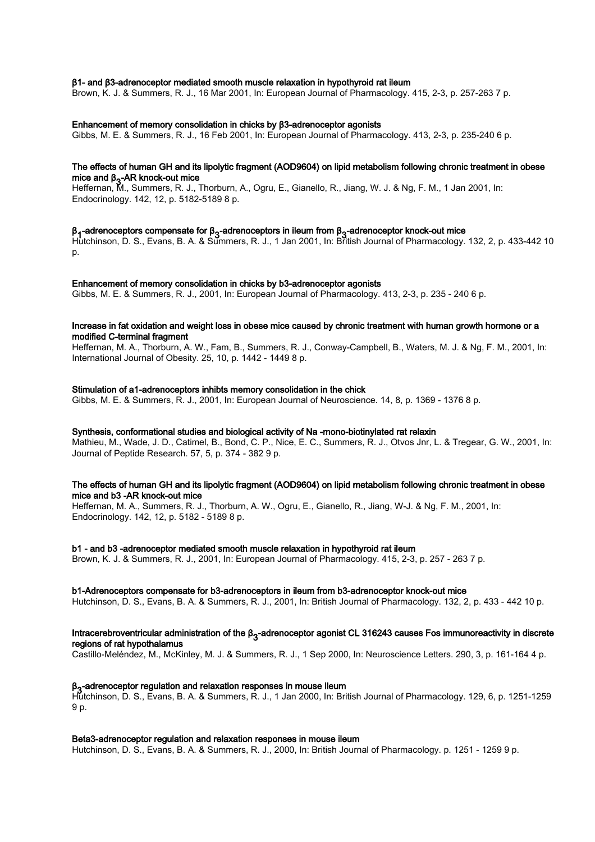#### β1- and β3-adrenoceptor mediated smooth muscle relaxation in hypothyroid rat ileum

Brown, K. J. & Summers, R. J., 16 Mar 2001, In: European Journal of Pharmacology. 415, 2-3, p. 257-263 7 p.

#### Enhancement of memory consolidation in chicks by β3-adrenoceptor agonists

Gibbs, M. E. & Summers, R. J., 16 Feb 2001, In: European Journal of Pharmacology. 413, 2-3, p. 235-240 6 p.

### The effects of human GH and its lipolytic fragment (AOD9604) on lipid metabolism following chronic treatment in obese mice and β<sub>3</sub>-AR knock-out mice<br>Usffament Museumsen, Bull

Heffernan, M., Summers, R. J., Thorburn, A., Ogru, E., Gianello, R., Jiang, W. J. & Ng, F. M., 1 Jan 2001, In: Endocrinology. 142, 12, p. 5182-5189 8 p.

## β<sub>4</sub>-adrenoceptors compensate for β<sub>3</sub>-adrenoceptors in ileum from β<sub>3</sub>-adrenoceptor knock-out mice<br>Untekinesse DeCentruse DeA Secondary DeLA lan 8004 lan Bittel, laured of Disamage land

Hutchinson, D. S., Evans, B. A. & Summers, R. J., 1 Jan 2001, In: British Journal of Pharmacology. 132, 2, p. 433-442 10 p.

#### Enhancement of memory consolidation in chicks by b3-adrenoceptor agonists

Gibbs, M. E. & Summers, R. J., 2001, In: European Journal of Pharmacology. 413, 2-3, p. 235 - 240 6 p.

#### Increase in fat oxidation and weight loss in obese mice caused by chronic treatment with human growth hormone or a modified C-terminal fragment

Heffernan, M. A., Thorburn, A. W., Fam, B., Summers, R. J., Conway-Campbell, B., Waters, M. J. & Ng, F. M., 2001, In: International Journal of Obesity. 25, 10, p. 1442 - 1449 8 p.

#### Stimulation of a1-adrenoceptors inhibts memory consolidation in the chick

Gibbs, M. E. & Summers, R. J., 2001, In: European Journal of Neuroscience. 14, 8, p. 1369 - 1376 8 p.

#### Synthesis, conformational studies and biological activity of Na -mono-biotinylated rat relaxin

Mathieu, M., Wade, J. D., Catimel, B., Bond, C. P., Nice, E. C., Summers, R. J., Otvos Jnr, L. & Tregear, G. W., 2001, In: Journal of Peptide Research. 57, 5, p. 374 - 382 9 p.

#### The effects of human GH and its lipolytic fragment (AOD9604) on lipid metabolism following chronic treatment in obese mice and b3 -AR knock-out mice

Heffernan, M. A., Summers, R. J., Thorburn, A. W., Ogru, E., Gianello, R., Jiang, W-J. & Ng, F. M., 2001, In: Endocrinology. 142, 12, p. 5182 - 5189 8 p.

#### b1 - and b3 -adrenoceptor mediated smooth muscle relaxation in hypothyroid rat ileum

Brown, K. J. & Summers, R. J., 2001, In: European Journal of Pharmacology. 415, 2-3, p. 257 - 263 7 p.

#### b1-Adrenoceptors compensate for b3-adrenoceptors in ileum from b3-adrenoceptor knock-out mice

Hutchinson, D. S., Evans, B. A. & Summers, R. J., 2001, In: British Journal of Pharmacology. 132, 2, p. 433 - 442 10 p.

#### Intracerebroventricular administration of the β3 -adrenoceptor agonist CL 316243 causes Fos immunoreactivity in discrete regions of rat hypothalamus

Castillo-Meléndez, M., McKinley, M. J. & Summers, R. J., 1 Sep 2000, In: Neuroscience Letters. 290, 3, p. 161-164 4 p.

#### β<sub>3</sub>-adrenoceptor regulation and relaxation responses in mouse ileum

p<sub>3</sub>-adrenoceptor regulation and relaxation responses in modse lied.it<br>Hutchinson, D. S., Evans, B. A. & Summers, R. J., 1 Jan 2000, In: British Journal of Pharmacology. 129, 6, p. 1251-1259 9 p.

#### Beta3-adrenoceptor regulation and relaxation responses in mouse ileum

Hutchinson, D. S., Evans, B. A. & Summers, R. J., 2000, In: British Journal of Pharmacology. p. 1251 - 1259 9 p.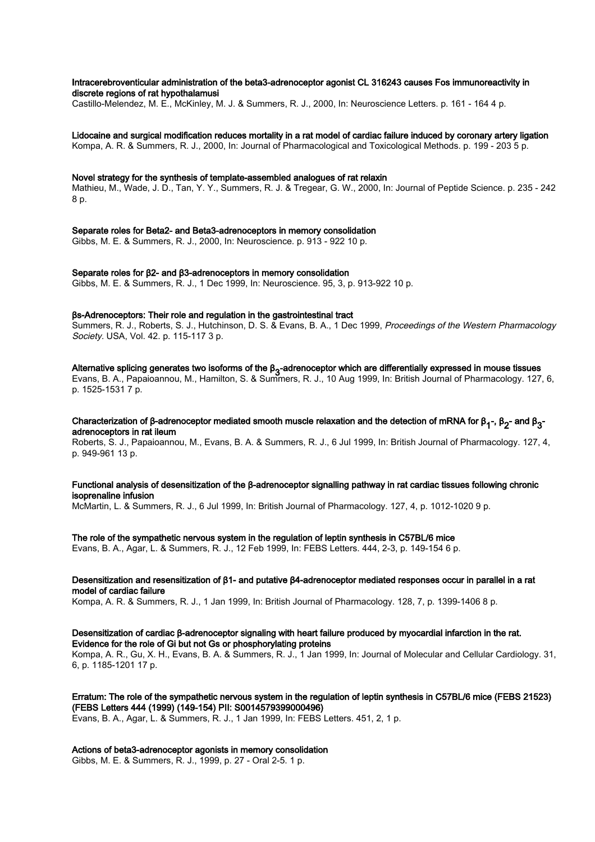#### Intracerebroventicular administration of the beta3-adrenoceptor agonist CL 316243 causes Fos immunoreactivity in discrete regions of rat hypothalamusi

Castillo-Melendez, M. E., McKinley, M. J. & Summers, R. J., 2000, In: Neuroscience Letters. p. 161 - 164 4 p.

Lidocaine and surgical modification reduces mortality in a rat model of cardiac failure induced by coronary artery ligation Kompa, A. R. & Summers, R. J., 2000, In: Journal of Pharmacological and Toxicological Methods. p. 199 - 203 5 p.

#### Novel strategy for the synthesis of template-assembled analogues of rat relaxin

Mathieu, M., Wade, J. D., Tan, Y. Y., Summers, R. J. & Tregear, G. W., 2000, In: Journal of Peptide Science. p. 235 - 242 8 p.

Separate roles for Beta2- and Beta3-adrenoceptors in memory consolidation Gibbs, M. E. & Summers, R. J., 2000, In: Neuroscience. p. 913 - 922 10 p.

Separate roles for β2- and β3-adrenoceptors in memory consolidation Gibbs, M. E. & Summers, R. J., 1 Dec 1999, In: Neuroscience. 95, 3, p. 913-922 10 p.

#### βs-Adrenoceptors: Their role and regulation in the gastrointestinal tract

Summers, R. J., Roberts, S. J., Hutchinson, D. S. & Evans, B. A., 1 Dec 1999, Proceedings of the Western Pharmacology Society. USA, Vol. 42. p. 115-117 3 p.

Alternative splicing generates two isoforms of the β<sub>3</sub>-adrenoceptor which are differentially expressed in mouse tissues<br>Express B As Densitionary M. Harritten C. & Curricum D. L. 40 Arre 4000 lar Diffith Harry of Discuss Evans, B. A., Papaioannou, M., Hamilton, S. & Summers, R. J., 10 Aug 1999, In: British Journal of Pharmacology. 127, 6, p. 1525-1531 7 p.

#### Characterization of β-adrenoceptor mediated smooth muscle relaxation and the detection of mRNA for β<sub>1</sub>-, β<sub>2</sub>- and β<sub>3</sub>-<br>- draps cantage in act ilsum adrenoceptors in rat ileum

Roberts, S. J., Papaioannou, M., Evans, B. A. & Summers, R. J., 6 Jul 1999, In: British Journal of Pharmacology. 127, 4, p. 949-961 13 p.

#### Functional analysis of desensitization of the β-adrenoceptor signalling pathway in rat cardiac tissues following chronic isoprenaline infusion

McMartin, L. & Summers, R. J., 6 Jul 1999, In: British Journal of Pharmacology. 127, 4, p. 1012-1020 9 p.

#### The role of the sympathetic nervous system in the regulation of leptin synthesis in C57BL/6 mice

Evans, B. A., Agar, L. & Summers, R. J., 12 Feb 1999, In: FEBS Letters. 444, 2-3, p. 149-154 6 p.

#### Desensitization and resensitization of β1- and putative β4-adrenoceptor mediated responses occur in parallel in a rat model of cardiac failure

Kompa, A. R. & Summers, R. J., 1 Jan 1999, In: British Journal of Pharmacology. 128, 7, p. 1399-1406 8 p.

#### Desensitization of cardiac β-adrenoceptor signaling with heart failure produced by myocardial infarction in the rat. Evidence for the role of Gi but not Gs or phosphorylating proteins

Kompa, A. R., Gu, X. H., Evans, B. A. & Summers, R. J., 1 Jan 1999, In: Journal of Molecular and Cellular Cardiology. 31, 6, p. 1185-1201 17 p.

#### Erratum: The role of the sympathetic nervous system in the regulation of leptin synthesis in C57BL/6 mice (FEBS 21523) (FEBS Letters 444 (1999) (149-154) PII: S0014579399000496)

Evans, B. A., Agar, L. & Summers, R. J., 1 Jan 1999, In: FEBS Letters. 451, 2, 1 p.

#### Actions of beta3-adrenoceptor agonists in memory consolidation

Gibbs, M. E. & Summers, R. J., 1999, p. 27 - Oral 2-5. 1 p.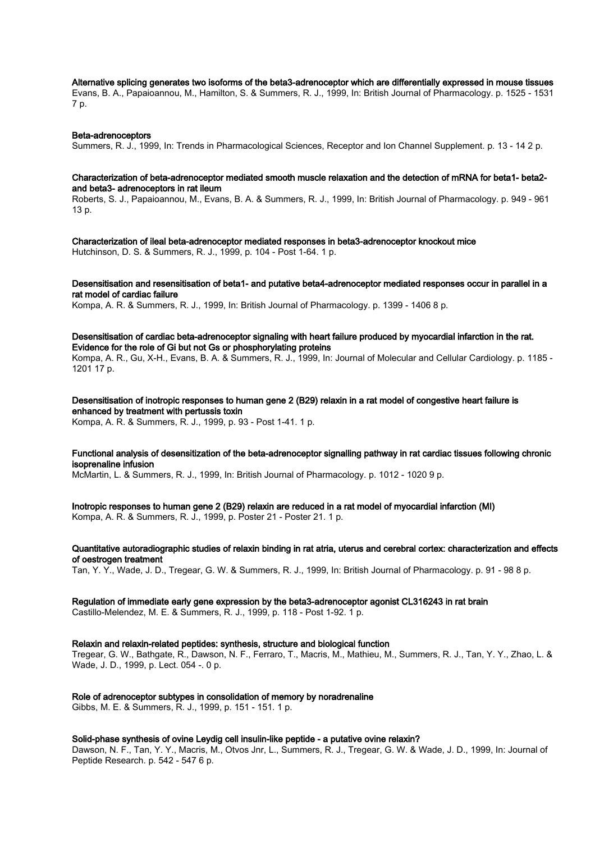Alternative splicing generates two isoforms of the beta3-adrenoceptor which are differentially expressed in mouse tissues

Evans, B. A., Papaioannou, M., Hamilton, S. & Summers, R. J., 1999, In: British Journal of Pharmacology. p. 1525 - 1531 7 p.

#### Beta-adrenoceptors

Summers, R. J., 1999, In: Trends in Pharmacological Sciences, Receptor and Ion Channel Supplement. p. 13 - 14 2 p.

#### Characterization of beta-adrenoceptor mediated smooth muscle relaxation and the detection of mRNA for beta1- beta2 and beta3- adrenoceptors in rat ileum

Roberts, S. J., Papaioannou, M., Evans, B. A. & Summers, R. J., 1999, In: British Journal of Pharmacology. p. 949 - 961 13 p.

Characterization of ileal beta-adrenoceptor mediated responses in beta3-adrenoceptor knockout mice Hutchinson, D. S. & Summers, R. J., 1999, p. 104 - Post 1-64. 1 p.

Desensitisation and resensitisation of beta1- and putative beta4-adrenoceptor mediated responses occur in parallel in a rat model of cardiac failure

Kompa, A. R. & Summers, R. J., 1999, In: British Journal of Pharmacology. p. 1399 - 1406 8 p.

Desensitisation of cardiac beta-adrenoceptor signaling with heart failure produced by myocardial infarction in the rat. Evidence for the role of Gi but not Gs or phosphorylating proteins Kompa, A. R., Gu, X-H., Evans, B. A. & Summers, R. J., 1999, In: Journal of Molecular and Cellular Cardiology. p. 1185 - 1201 17 p.

Desensitisation of inotropic responses to human gene 2 (B29) relaxin in a rat model of congestive heart failure is enhanced by treatment with pertussis toxin Kompa, A. R. & Summers, R. J., 1999, p. 93 - Post 1-41. 1 p.

Functional analysis of desensitization of the beta-adrenoceptor signalling pathway in rat cardiac tissues following chronic isoprenaline infusion

McMartin, L. & Summers, R. J., 1999, In: British Journal of Pharmacology. p. 1012 - 1020 9 p.

Inotropic responses to human gene 2 (B29) relaxin are reduced in a rat model of myocardial infarction (MI) Kompa, A. R. & Summers, R. J., 1999, p. Poster 21 - Poster 21. 1 p.

Quantitative autoradiographic studies of relaxin binding in rat atria, uterus and cerebral cortex: characterization and effects of oestrogen treatment

Tan, Y. Y., Wade, J. D., Tregear, G. W. & Summers, R. J., 1999, In: British Journal of Pharmacology. p. 91 - 98 8 p.

#### Regulation of immediate early gene expression by the beta3-adrenoceptor agonist CL316243 in rat brain

Castillo-Melendez, M. E. & Summers, R. J., 1999, p. 118 - Post 1-92. 1 p.

#### Relaxin and relaxin-related peptides: synthesis, structure and biological function

Tregear, G. W., Bathgate, R., Dawson, N. F., Ferraro, T., Macris, M., Mathieu, M., Summers, R. J., Tan, Y. Y., Zhao, L. & Wade, J. D., 1999, p. Lect. 054 -, 0 p.

Role of adrenoceptor subtypes in consolidation of memory by noradrenaline

Gibbs, M. E. & Summers, R. J., 1999, p. 151 - 151. 1 p.

#### Solid-phase synthesis of ovine Leydig cell insulin-like peptide - a putative ovine relaxin?

Dawson, N. F., Tan, Y. Y., Macris, M., Otvos Jnr, L., Summers, R. J., Tregear, G. W. & Wade, J. D., 1999, In: Journal of Peptide Research. p. 542 - 547 6 p.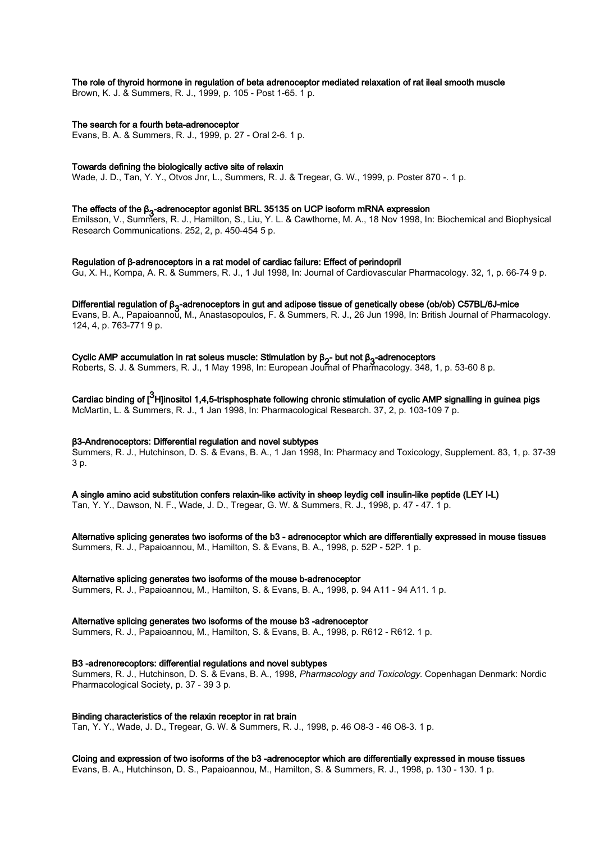#### The role of thyroid hormone in regulation of beta adrenoceptor mediated relaxation of rat ileal smooth muscle

Brown, K. J. & Summers, R. J., 1999, p. 105 - Post 1-65. 1 p.

#### The search for a fourth beta-adrenoceptor

Evans, B. A. & Summers, R. J., 1999, p. 27 - Oral 2-6. 1 p.

#### Towards defining the biologically active site of relaxin

Wade, J. D., Tan, Y. Y., Otvos Jnr, L., Summers, R. J. & Tregear, G. W., 1999, p. Poster 870 -. 1 p.

## The effects of the β<sub>3</sub>-adrenoceptor agonist BRL 35135 on UCP isoform mRNA expression<br>Entitled and Committee Dubble in the Windows Continue of the Continuum of the 49 New 1999 little

Emilsson, V., Summers, R. J., Hamilton, S., Liu, Y. L. & Cawthorne, M. A., 18 Nov 1998, In: Biochemical and Biophysical Research Communications. 252, 2, p. 450-454 5 p.

Regulation of β-adrenoceptors in a rat model of cardiac failure: Effect of perindopril Gu, X. H., Kompa, A. R. & Summers, R. J., 1 Jul 1998, In: Journal of Cardiovascular Pharmacology. 32, 1, p. 66-74 9 p.

Differential regulation of β<sub>3</sub>-adrenoceptors in gut and adipose tissue of genetically obese (ob/ob) C57BL/6J-mice<br>Exercise And Passicsport of Munkey the contractor Full Communicate Duble 2000 has Difficial Laureate fille Evans, B. A., Papaioannou, M., Anastasopoulos, F. & Summers, R. J., 26 Jun 1998, In: British Journal of Pharmacology. 124, 4, p. 763-771 9 p.

## Cyclic AMP accumulation in rat soleus muscle: Stimulation by β<sub>2</sub>- but not β<sub>3</sub>-adrenoceptors<br>Bakarta Salah Semuaran Bakarta 1999, ku European ku European of Blazen salam 249

Roberts, S. J. & Summers, R. J., 1 May 1998, In: European Journal of Pharmacology. 348, 1, p. 53-60 8 p.

Cardiac binding of [ $^3$ H]inositol 1,4,5-trisphosphate following chronic stimulation of cyclic AMP signalling in guinea pigs McMartin, L. & Summers, R. J., 1 Jan 1998, In: Pharmacological Research. 37, 2, p. 103-109 7 p.

#### β3-Andrenoceptors: Differential regulation and novel subtypes

Summers, R. J., Hutchinson, D. S. & Evans, B. A., 1 Jan 1998, In: Pharmacy and Toxicology, Supplement. 83, 1, p. 37-39 3 p.

A single amino acid substitution confers relaxin-like activity in sheep leydig cell insulin-like peptide (LEY I-L) Tan, Y. Y., Dawson, N. F., Wade, J. D., Tregear, G. W. & Summers, R. J., 1998, p. 47 - 47. 1 p.

Alternative splicing generates two isoforms of the b3 - adrenoceptor which are differentially expressed in mouse tissues Summers, R. J., Papaioannou, M., Hamilton, S. & Evans, B. A., 1998, p. 52P - 52P. 1 p.

#### Alternative splicing generates two isoforms of the mouse b-adrenoceptor

Summers, R. J., Papaioannou, M., Hamilton, S. & Evans, B. A., 1998, p. 94 A11 - 94 A11. 1 p.

Alternative splicing generates two isoforms of the mouse b3 -adrenoceptor

Summers, R. J., Papaioannou, M., Hamilton, S. & Evans, B. A., 1998, p. R612 - R612. 1 p.

#### B3 -adrenorecoptors: differential regulations and novel subtypes

Summers, R. J., Hutchinson, D. S. & Evans, B. A., 1998, Pharmacology and Toxicology. Copenhagan Denmark: Nordic Pharmacological Society, p. 37 - 39 3 p.

Binding characteristics of the relaxin receptor in rat brain

Tan, Y. Y., Wade, J. D., Tregear, G. W. & Summers, R. J., 1998, p. 46 O8-3 - 46 O8-3. 1 p.

Cloing and expression of two isoforms of the b3 -adrenoceptor which are differentially expressed in mouse tissues

Evans, B. A., Hutchinson, D. S., Papaioannou, M., Hamilton, S. & Summers, R. J., 1998, p. 130 - 130. 1 p.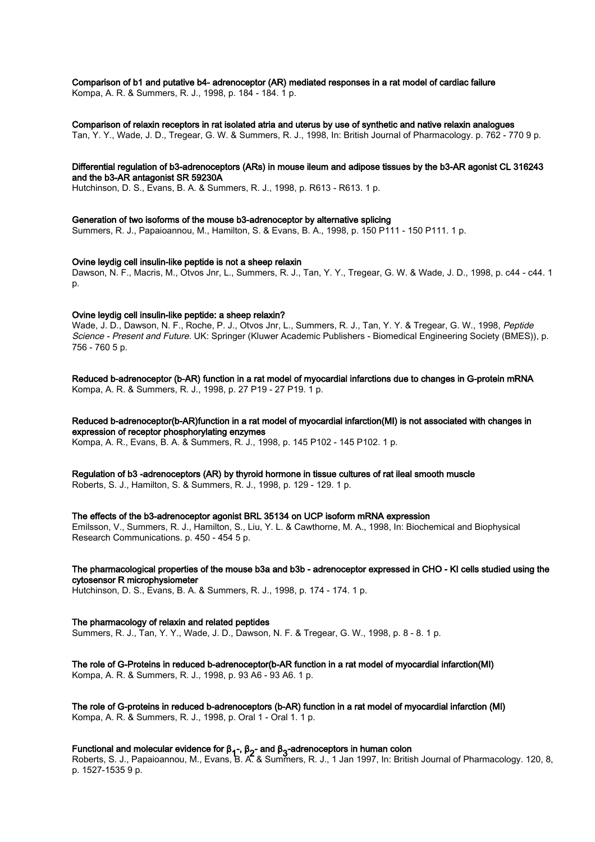#### Comparison of b1 and putative b4- adrenoceptor (AR) mediated responses in a rat model of cardiac failure

Kompa, A. R. & Summers, R. J., 1998, p. 184 - 184. 1 p.

#### Comparison of relaxin receptors in rat isolated atria and uterus by use of synthetic and native relaxin analogues

Tan, Y. Y., Wade, J. D., Tregear, G. W. & Summers, R. J., 1998, In: British Journal of Pharmacology. p. 762 - 770 9 p.

#### Differential regulation of b3-adrenoceptors (ARs) in mouse ileum and adipose tissues by the b3-AR agonist CL 316243 and the b3-AR antagonist SR 59230A

Hutchinson, D. S., Evans, B. A. & Summers, R. J., 1998, p. R613 - R613. 1 p.

Generation of two isoforms of the mouse b3-adrenoceptor by alternative splicing Summers, R. J., Papaioannou, M., Hamilton, S. & Evans, B. A., 1998, p. 150 P111 - 150 P111. 1 p.

#### Ovine leydig cell insulin-like peptide is not a sheep relaxin

Dawson, N. F., Macris, M., Otvos Jnr, L., Summers, R. J., Tan, Y. Y., Tregear, G. W. & Wade, J. D., 1998, p. c44 - c44. 1 p.

#### Ovine leydig cell insulin-like peptide: a sheep relaxin?

Wade, J. D., Dawson, N. F., Roche, P. J., Otvos Jnr, L., Summers, R. J., Tan, Y. Y. & Tregear, G. W., 1998, Peptide Science - Present and Future. UK: Springer (Kluwer Academic Publishers - Biomedical Engineering Society (BMES)), p. 756 - 760 5 p.

Reduced b-adrenoceptor (b-AR) function in a rat model of myocardial infarctions due to changes in G-protein mRNA Kompa, A. R. & Summers, R. J., 1998, p. 27 P19 - 27 P19. 1 p.

#### Reduced b-adrenoceptor(b-AR)function in a rat model of myocardial infarction(MI) is not associated with changes in expression of receptor phosphorylating enzymes

Kompa, A. R., Evans, B. A. & Summers, R. J., 1998, p. 145 P102 - 145 P102. 1 p.

## Regulation of b3 -adrenoceptors (AR) by thyroid hormone in tissue cultures of rat ileal smooth muscle

Roberts, S. J., Hamilton, S. & Summers, R. J., 1998, p. 129 - 129. 1 p.

#### The effects of the b3-adrenoceptor agonist BRL 35134 on UCP isoform mRNA expression

Emilsson, V., Summers, R. J., Hamilton, S., Liu, Y. L. & Cawthorne, M. A., 1998, In: Biochemical and Biophysical Research Communications. p. 450 - 454 5 p.

#### The pharmacological properties of the mouse b3a and b3b - adrenoceptor expressed in CHO - KI cells studied using the cytosensor R microphysiometer

Hutchinson, D. S., Evans, B. A. & Summers, R. J., 1998, p. 174 - 174. 1 p.

#### The pharmacology of relaxin and related peptides

Summers, R. J., Tan, Y. Y., Wade, J. D., Dawson, N. F. & Tregear, G. W., 1998, p. 8 - 8. 1 p.

#### The role of G-Proteins in reduced b-adrenoceptor(b-AR function in a rat model of myocardial infarction(MI) Kompa, A. R. & Summers, R. J., 1998, p. 93 A6 - 93 A6. 1 p.

The role of G-proteins in reduced b-adrenoceptors (b-AR) function in a rat model of myocardial infarction (MI) Kompa, A. R. & Summers, R. J., 1998, p. Oral 1 - Oral 1. 1 p.

## Functional and molecular evidence for  $β_1$ -,  $β_2$ - and  $β_3$ -adrenoceptors in human colon<br>Bakarta  $β_1$ , Bangiagana (ALE)  $β_2$ ,  $β_3$ ,  $β_4$ ,  $β_5$ ,  $β_7$ ,  $β_8$ ,  $β_9$ ,  $β_9$ ,  $β_1$

Roberts, S. J., Papaioannou, M., Evans, B. A. & Summers, R. J., 1 Jan 1997, In: British Journal of Pharmacology. 120, 8, p. 1527-1535 9 p.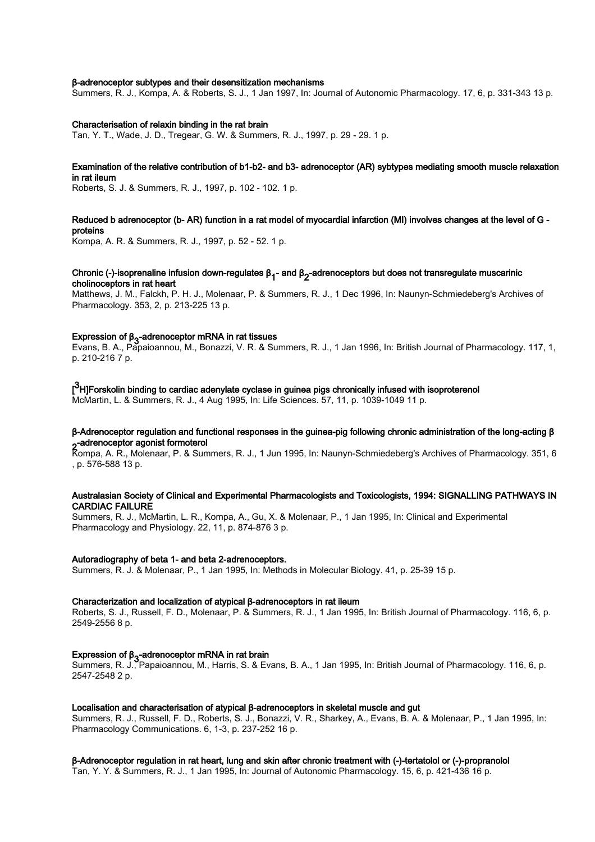#### β-adrenoceptor subtypes and their desensitization mechanisms

Summers, R. J., Kompa, A. & Roberts, S. J., 1 Jan 1997, In: Journal of Autonomic Pharmacology. 17, 6, p. 331-343 13 p.

#### Characterisation of relaxin binding in the rat brain

Tan, Y. T., Wade, J. D., Tregear, G. W. & Summers, R. J., 1997, p. 29 - 29. 1 p.

#### Examination of the relative contribution of b1-b2- and b3- adrenoceptor (AR) sybtypes mediating smooth muscle relaxation in rat ileum

Roberts, S. J. & Summers, R. J., 1997, p. 102 - 102. 1 p.

#### Reduced b adrenoceptor (b- AR) function in a rat model of myocardial infarction (MI) involves changes at the level of G proteins

Kompa, A. R. & Summers, R. J., 1997, p. 52 - 52. 1 p.

#### Chronic (-)-isoprenaline infusion down-regulates β<sub>1</sub>- and β<sub>2</sub>-adrenoceptors but does not transregulate muscarinic<br>shallingsanters in ast bood: cholinoceptors in rat heart

Matthews, J. M., Falckh, P. H. J., Molenaar, P. & Summers, R. J., 1 Dec 1996, In: Naunyn-Schmiedeberg's Archives of Pharmacology. 353, 2, p. 213-225 13 p.

## Expression of  $\beta_3$ -adrenoceptor mRNA in rat tissues

Evans, B. A., Papaioannou, M., Bonazzi, V. R. & Summers, R. J., 1 Jan 1996, In: British Journal of Pharmacology. 117, 1, p. 210-216 7 p.

### [<sup>3</sup>H]Forskolin binding to cardiac adenylate cyclase in guinea pigs chronically infused with isoproterenol

McMartin, L. & Summers, R. J., 4 Aug 1995, In: Life Sciences. 57, 11, p. 1039-1049 11 p.

### β-Adrenoceptor regulation and functional responses in the guinea-pig following chronic administration of the long-acting β 2 -adrenoceptor agonist formoterol

Kompa, A. R., Molenaar, P. & Summers, R. J., 1 Jun 1995, In: Naunyn-Schmiedeberg's Archives of Pharmacology. 351, 6 , p. 576-588 13 p.

#### Australasian Society of Clinical and Experimental Pharmacologists and Toxicologists, 1994: SIGNALLING PATHWAYS IN CARDIAC FAILURE

Summers, R. J., McMartin, L. R., Kompa, A., Gu, X. & Molenaar, P., 1 Jan 1995, In: Clinical and Experimental Pharmacology and Physiology. 22, 11, p. 874-876 3 p.

#### Autoradiography of beta 1- and beta 2-adrenoceptors.

Summers, R. J. & Molenaar, P., 1 Jan 1995, In: Methods in Molecular Biology. 41, p. 25-39 15 p.

#### Characterization and localization of atypical β‐adrenoceptors in rat ileum

Roberts, S. J., Russell, F. D., Molenaar, P. & Summers, R. J., 1 Jan 1995, In: British Journal of Pharmacology. 116, 6, p. 2549-2556 8 p.

### Expression of β<sub>3</sub>-adrenoceptor mRNA in rat brain

Summers, R. J., Papaioannou, M., Harris, S. & Evans, B. A., 1 Jan 1995, In: British Journal of Pharmacology. 116, 6, p. 2547-2548 2 p.

#### Localisation and characterisation of atypical β-adrenoceptors in skeletal muscle and gut

Summers, R. J., Russell, F. D., Roberts, S. J., Bonazzi, V. R., Sharkey, A., Evans, B. A. & Molenaar, P., 1 Jan 1995, In: Pharmacology Communications. 6, 1-3, p. 237-252 16 p.

#### β‐Adrenoceptor regulation in rat heart, lung and skin after chronic treatment with (‐)‐tertatolol or (‐)‐propranolol

Tan, Y. Y. & Summers, R. J., 1 Jan 1995, In: Journal of Autonomic Pharmacology. 15, 6, p. 421-436 16 p.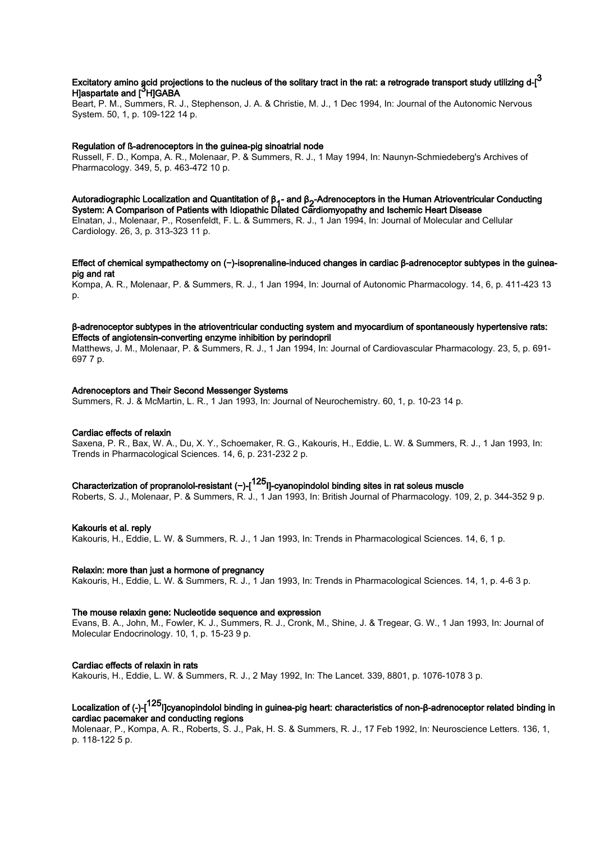## Excitatory amino acid projections to the nucleus of the solitary tract in the rat: a retrograde transport study utilizing d-[ $^3$ H]aspartate and [<sup>3</sup>H]GABA

Beart, P. M., Summers, R. J., Stephenson, J. A. & Christie, M. J., 1 Dec 1994, In: Journal of the Autonomic Nervous System. 50, 1, p. 109-122 14 p.

#### Regulation of ß-adrenoceptors in the guinea-pig sinoatrial node

Russell, F. D., Kompa, A. R., Molenaar, P. & Summers, R. J., 1 May 1994, In: Naunyn-Schmiedeberg's Archives of Pharmacology. 349, 5, p. 463-472 10 p.

#### Autoradiographic Localization and Quantitation of β<sub>1</sub>- and β<sub>2</sub>-Adrenoceptors in the Human Atrioventricular Conducting<br>Curtage A Conception of Retirate with Idian attic Richard Cardiomuse the send Independent Piecese System: A Comparison of Patients with Idiopathic Dilated Cardiomyopathy and Ischemic Heart Disease

Elnatan, J., Molenaar, P., Rosenfeldt, F. L. & Summers, R. J., 1 Jan 1994, In: Journal of Molecular and Cellular Cardiology. 26, 3, p. 313-323 11 p.

#### Effect of chemical sympathectomy on (−)‐isoprenaline‐induced changes in cardiac β‐adrenoceptor subtypes in the guinea‐ pig and rat

Kompa, A. R., Molenaar, P. & Summers, R. J., 1 Jan 1994, In: Journal of Autonomic Pharmacology. 14, 6, p. 411-423 13 p.

#### β-adrenoceptor subtypes in the atrioventricular conducting system and myocardium of spontaneously hypertensive rats: Effects of angiotensin-converting enzyme inhibition by perindopril

Matthews, J. M., Molenaar, P. & Summers, R. J., 1 Jan 1994, In: Journal of Cardiovascular Pharmacology. 23, 5, p. 691- 697 7 p.

#### Adrenoceptors and Their Second Messenger Systems

Summers, R. J. & McMartin, L. R., 1 Jan 1993, In: Journal of Neurochemistry. 60, 1, p. 10-23 14 p.

#### Cardiac effects of relaxin

Saxena, P. R., Bax, W. A., Du, X. Y., Schoemaker, R. G., Kakouris, H., Eddie, L. W. & Summers, R. J., 1 Jan 1993, In: Trends in Pharmacological Sciences. 14, 6, p. 231-232 2 p.

## Characterization of propranolol‐resistant (−)‐[125I]‐cyanopindolol binding sites in rat soleus muscle

Roberts, S. J., Molenaar, P. & Summers, R. J., 1 Jan 1993, In: British Journal of Pharmacology. 109, 2, p. 344-352 9 p.

#### Kakouris et al. reply

Kakouris, H., Eddie, L. W. & Summers, R. J., 1 Jan 1993, In: Trends in Pharmacological Sciences. 14, 6, 1 p.

#### Relaxin: more than just a hormone of pregnancy

Kakouris, H., Eddie, L. W. & Summers, R. J., 1 Jan 1993, In: Trends in Pharmacological Sciences. 14, 1, p. 4-6 3 p.

#### The mouse relaxin gene: Nucleotide sequence and expression

Evans, B. A., John, M., Fowler, K. J., Summers, R. J., Cronk, M., Shine, J. & Tregear, G. W., 1 Jan 1993, In: Journal of Molecular Endocrinology. 10, 1, p. 15-23 9 p.

#### Cardiac effects of relaxin in rats

Kakouris, H., Eddie, L. W. & Summers, R. J., 2 May 1992, In: The Lancet. 339, 8801, p. 1076-1078 3 p.

## Localization of (-)-[<sup>125</sup>I]cyanopindolol binding in guinea-pig heart: characteristics of non-β-adrenoceptor related binding in cardiac pacemaker and conducting regions

Molenaar, P., Kompa, A. R., Roberts, S. J., Pak, H. S. & Summers, R. J., 17 Feb 1992, In: Neuroscience Letters. 136, 1, p. 118-122 5 p.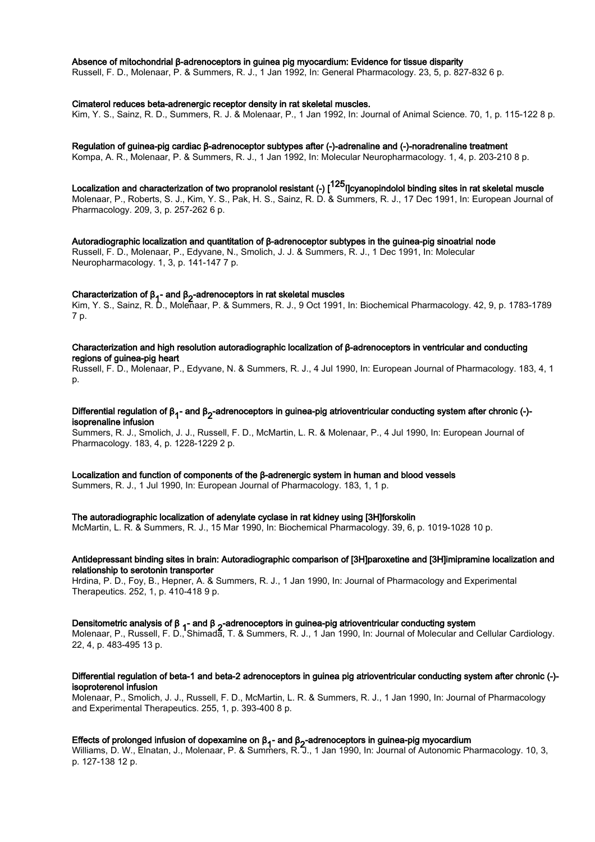#### Absence of mitochondrial β-adrenoceptors in guinea pig myocardium: Evidence for tissue disparity

Russell, F. D., Molenaar, P. & Summers, R. J., 1 Jan 1992, In: General Pharmacology. 23, 5, p. 827-832 6 p.

#### Cimaterol reduces beta-adrenergic receptor density in rat skeletal muscles.

Kim, Y. S., Sainz, R. D., Summers, R. J. & Molenaar, P., 1 Jan 1992, In: Journal of Animal Science. 70, 1, p. 115-122 8 p.

#### Regulation of guinea-pig cardiac β-adrenoceptor subtypes after (-)-adrenaline and (-)-noradrenaline treatment

Kompa, A. R., Molenaar, P. & Summers, R. J., 1 Jan 1992, In: Molecular Neuropharmacology. 1, 4, p. 203-210 8 p.

## Localization and characterization of two propranolol resistant (-) [<sup>125</sup>I]cyanopindolol binding sites in rat skeletal muscle

Molenaar, P., Roberts, S. J., Kim, Y. S., Pak, H. S., Sainz, R. D. & Summers, R. J., 17 Dec 1991, In: European Journal of Pharmacology. 209, 3, p. 257-262 6 p.

## Autoradiographic localization and quantitation of β-adrenoceptor subtypes in the guinea-pig sinoatrial node

Russell, F. D., Molenaar, P., Edyvane, N., Smolich, J. J. & Summers, R. J., 1 Dec 1991, In: Molecular Neuropharmacology. 1, 3, p. 141-147 7 p.

## Characterization of β<sub>1</sub>- and β<sub>2</sub>-adrenoceptors in rat skeletal muscles

Kim, Y. S., Sainz, R. D., Molenaar, P. & Summers, R. J., 9 Oct 1991, In: Biochemical Pharmacology. 42, 9, p. 1783-1789 7 p.

#### Characterization and high resolution autoradiographic localization of β-adrenoceptors in ventricular and conducting regions of guinea-pig heart

Russell, F. D., Molenaar, P., Edyvane, N. & Summers, R. J., 4 Jul 1990, In: European Journal of Pharmacology. 183, 4, 1 p.

#### Differential regulation of β<sub>1</sub>- and β<sub>2</sub>-adrenoceptors in guinea-pig atrioventricular conducting system after chronic (-)-<br>Isonaseding inferior isoprenaline infusion

Summers, R. J., Smolich, J. J., Russell, F. D., McMartin, L. R. & Molenaar, P., 4 Jul 1990, In: European Journal of Pharmacology. 183, 4, p. 1228-1229 2 p.

#### Localization and function of components of the β-adrenergic system in human and blood vessels

Summers, R. J., 1 Jul 1990, In: European Journal of Pharmacology. 183, 1, 1 p.

#### The autoradiographic localization of adenylate cyclase in rat kidney using [3H]forskolin

McMartin, L. R. & Summers, R. J., 15 Mar 1990, In: Biochemical Pharmacology. 39, 6, p. 1019-1028 10 p.

#### Antidepressant binding sites in brain: Autoradiographic comparison of [3H]paroxetine and [3H]imipramine localization and relationship to serotonin transporter

Hrdina, P. D., Foy, B., Hepner, A. & Summers, R. J., 1 Jan 1990, In: Journal of Pharmacology and Experimental Therapeutics. 252, 1, p. 410-418 9 p.

### Densitometric analysis of β <sub>1</sub>- and β <sub>2</sub>-adrenoceptors in guinea-pig atrioventricular conducting system<br>Make see B - Buseall E B 10 kinesis T - 8 Currence B - L4 Lin 4000 kg January of Make ushe and

Molenaar, P., Russell, F. D., Shimada, T. & Summers, R. J., 1 Jan 1990, In: Journal of Molecular and Cellular Cardiology. 22, 4, p. 483-495 13 p.

#### Differential regulation of beta-1 and beta-2 adrenoceptors in guinea pig atrioventricular conducting system after chronic (-) isoproterenol infusion

Molenaar, P., Smolich, J. J., Russell, F. D., McMartin, L. R. & Summers, R. J., 1 Jan 1990, In: Journal of Pharmacology and Experimental Therapeutics. 255, 1, p. 393-400 8 p.

### Effects of prolonged infusion of dopexamine on β<sub>1</sub>- and β<sub>2</sub>-adrenoceptors in guinea-pig myocardium<br>Williams D. W. Flisters J. Malances D. & Owners D. Z. La Jac 4888 Jac Lewis La Artessaria D

Williams, D. W., Elnatan, J., Molenaar, P. & Summers, R. J., 1 Jan 1990, In: Journal of Autonomic Pharmacology. 10, 3, p. 127-138 12 p.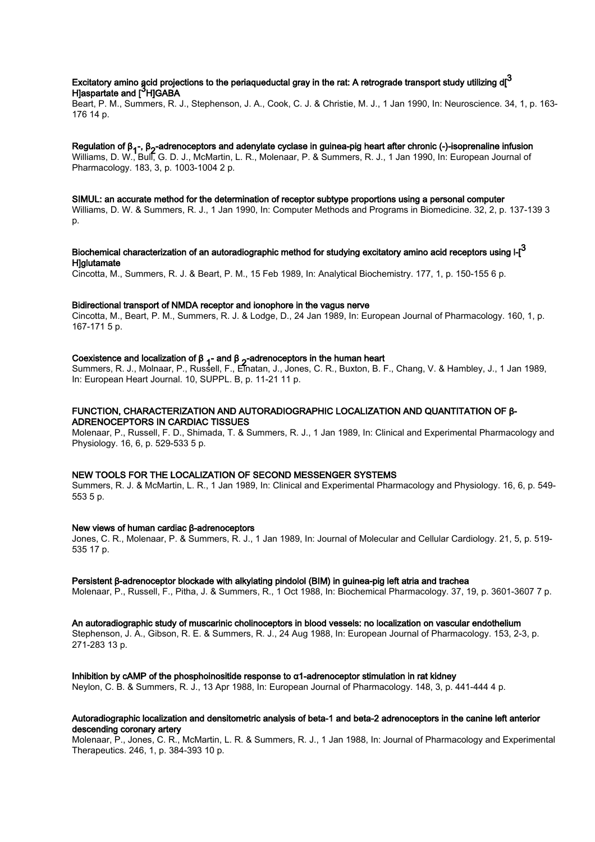## Excitatory amino acid projections to the periaqueductal gray in the rat: A retrograde transport study utilizing d[ $^3$ H]aspartate and [<sup>3</sup>H]GABA

Beart, P. M., Summers, R. J., Stephenson, J. A., Cook, C. J. & Christie, M. J., 1 Jan 1990, In: Neuroscience. 34, 1, p. 163- 176 14 p.

## Regulation of β<sub>1</sub>-, β<sub>2</sub>-adrenoceptors and adenylate cyclase in guinea-pig heart after chronic (-)-isoprenaline infusion<br>Williams D. W. Dulf Q. D. L. MaMartin, L. D. Malancer, D. 8 Quinnams, D. L. 4 Lin 4999, la European

Williams, D. W., Bull, G. D. J., McMartin, L. R., Molenaar, P. & Summers, R. J., 1 Jan 1990, In: European Journal of Pharmacology. 183, 3, p. 1003-1004 2 p.

#### SIMUL: an accurate method for the determination of receptor subtype proportions using a personal computer

Williams, D. W. & Summers, R. J., 1 Jan 1990, In: Computer Methods and Programs in Biomedicine. 32, 2, p. 137-139 3 p.

## Biochemical characterization of an autoradiographic method for studying excitatory amino acid receptors using l-[ $^3$ **H**]glutamate

Cincotta, M., Summers, R. J. & Beart, P. M., 15 Feb 1989, In: Analytical Biochemistry. 177, 1, p. 150-155 6 p.

#### Bidirectional transport of NMDA receptor and ionophore in the vagus nerve

Cincotta, M., Beart, P. M., Summers, R. J. & Lodge, D., 24 Jan 1989, In: European Journal of Pharmacology. 160, 1, p. 167-171 5 p.

## Coexistence and localization of β <sub>1</sub> - and β <sub>2</sub>-adrenoceptors in the human heart<br>Current p 1. Malazza D. Durantll F. Frates, 1. Januar O. D. Durant D. D

Summers, R. J., Molnaar, P., Russell, F., Elnatan, J., Jones, C. R., Buxton, B. F., Chang, V. & Hambley, J., 1 Jan 1989, In: European Heart Journal. 10, SUPPL. B, p. 11-21 11 p.

#### FUNCTION, CHARACTERIZATION AND AUTORADIOGRAPHIC LOCALIZATION AND QUANTITATION OF β‐ ADRENOCEPTORS IN CARDIAC TISSUES

Molenaar, P., Russell, F. D., Shimada, T. & Summers, R. J., 1 Jan 1989, In: Clinical and Experimental Pharmacology and Physiology. 16, 6, p. 529-533 5 p.

#### NEW TOOLS FOR THE LOCALIZATION OF SECOND MESSENGER SYSTEMS

Summers, R. J. & McMartin, L. R., 1 Jan 1989, In: Clinical and Experimental Pharmacology and Physiology. 16, 6, p. 549- 553 5 p.

#### New views of human cardiac β-adrenoceptors

Jones, C. R., Molenaar, P. & Summers, R. J., 1 Jan 1989, In: Journal of Molecular and Cellular Cardiology. 21, 5, p. 519- 535 17 p.

#### Persistent β-adrenoceptor blockade with alkylating pindolol (BIM) in guinea-pig left atria and trachea

Molenaar, P., Russell, F., Pitha, J. & Summers, R., 1 Oct 1988, In: Biochemical Pharmacology. 37, 19, p. 3601-3607 7 p.

#### An autoradiographic study of muscarinic cholinoceptors in blood vessels: no localization on vascular endothelium

Stephenson, J. A., Gibson, R. E. & Summers, R. J., 24 Aug 1988, In: European Journal of Pharmacology. 153, 2-3, p. 271-283 13 p.

#### Inhibition by cAMP of the phosphoinositide response to  $\alpha$ 1-adrenoceptor stimulation in rat kidney

Neylon, C. B. & Summers, R. J., 13 Apr 1988, In: European Journal of Pharmacology. 148, 3, p. 441-444 4 p.

#### Autoradiographic localization and densitometric analysis of beta-1 and beta-2 adrenoceptors in the canine left anterior descending coronary artery

Molenaar, P., Jones, C. R., McMartin, L. R. & Summers, R. J., 1 Jan 1988, In: Journal of Pharmacology and Experimental Therapeutics. 246, 1, p. 384-393 10 p.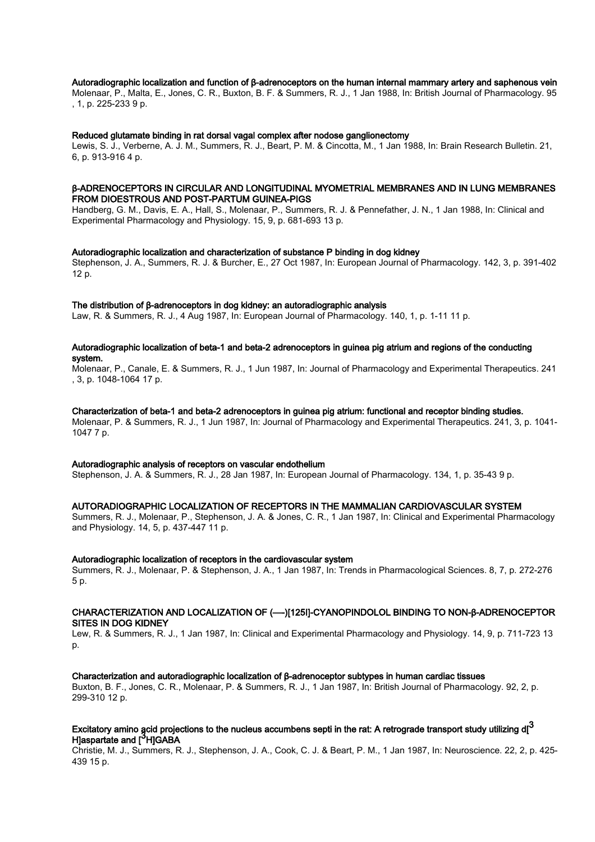#### Autoradiographic localization and function of β‐adrenoceptors on the human internal mammary artery and saphenous vein

Molenaar, P., Malta, E., Jones, C. R., Buxton, B. F. & Summers, R. J., 1 Jan 1988, In: British Journal of Pharmacology. 95 , 1, p. 225-233 9 p.

#### Reduced glutamate binding in rat dorsal vagal complex after nodose ganglionectomy

Lewis, S. J., Verberne, A. J. M., Summers, R. J., Beart, P. M. & Cincotta, M., 1 Jan 1988, In: Brain Research Bulletin. 21, 6, p. 913-916 4 p.

#### β‐ADRENOCEPTORS IN CIRCULAR AND LONGITUDINAL MYOMETRIAL MEMBRANES AND IN LUNG MEMBRANES FROM DIOESTROUS AND POST‐PARTUM GUINEA‐PIGS

Handberg, G. M., Davis, E. A., Hall, S., Molenaar, P., Summers, R. J. & Pennefather, J. N., 1 Jan 1988, In: Clinical and Experimental Pharmacology and Physiology. 15, 9, p. 681-693 13 p.

#### Autoradiographic localization and characterization of substance P binding in dog kidney

Stephenson, J. A., Summers, R. J. & Burcher, E., 27 Oct 1987, In: European Journal of Pharmacology. 142, 3, p. 391-402 12 p.

#### The distribution of β-adrenoceptors in dog kidney: an autoradiographic analysis

Law, R. & Summers, R. J., 4 Aug 1987, In: European Journal of Pharmacology. 140, 1, p. 1-11 11 p.

#### Autoradiographic localization of beta-1 and beta-2 adrenoceptors in guinea pig atrium and regions of the conducting system.

Molenaar, P., Canale, E. & Summers, R. J., 1 Jun 1987, In: Journal of Pharmacology and Experimental Therapeutics. 241 , 3, p. 1048-1064 17 p.

#### Characterization of beta-1 and beta-2 adrenoceptors in guinea pig atrium: functional and receptor binding studies.

Molenaar, P. & Summers, R. J., 1 Jun 1987, In: Journal of Pharmacology and Experimental Therapeutics. 241, 3, p. 1041- 1047 7 p.

#### Autoradiographic analysis of receptors on vascular endothelium

Stephenson, J. A. & Summers, R. J., 28 Jan 1987, In: European Journal of Pharmacology. 134, 1, p. 35-43 9 p.

#### AUTORADIOGRAPHIC LOCALIZATION OF RECEPTORS IN THE MAMMALIAN CARDIOVASCULAR SYSTEM

Summers, R. J., Molenaar, P., Stephenson, J. A. & Jones, C. R., 1 Jan 1987, In: Clinical and Experimental Pharmacology and Physiology. 14, 5, p. 437-447 11 p.

#### Autoradiographic localization of receptors in the cardiovascular system

Summers, R. J., Molenaar, P. & Stephenson, J. A., 1 Jan 1987, In: Trends in Pharmacological Sciences. 8, 7, p. 272-276 5 p.

#### CHARACTERIZATION AND LOCALIZATION OF (—‐)[125I]‐CYANOPINDOLOL BINDING TO NON‐β‐ADRENOCEPTOR SITES IN DOG KIDNEY

Lew, R. & Summers, R. J., 1 Jan 1987, In: Clinical and Experimental Pharmacology and Physiology. 14, 9, p. 711-723 13  $D<sub>0</sub>$ 

#### Characterization and autoradiographic localization of β‐adrenoceptor subtypes in human cardiac tissues

Buxton, B. F., Jones, C. R., Molenaar, P. & Summers, R. J., 1 Jan 1987, In: British Journal of Pharmacology. 92, 2, p. 299-310 12 p.

## Excitatory amino acid projections to the nucleus accumbens septi in the rat: A retrograde transport study utilizing d[ $^{\bf 3}$ Haspartate and [<sup>3</sup>H]GABA

Christie, M. J., Summers, R. J., Stephenson, J. A., Cook, C. J. & Beart, P. M., 1 Jan 1987, In: Neuroscience. 22, 2, p. 425- 439 15 p.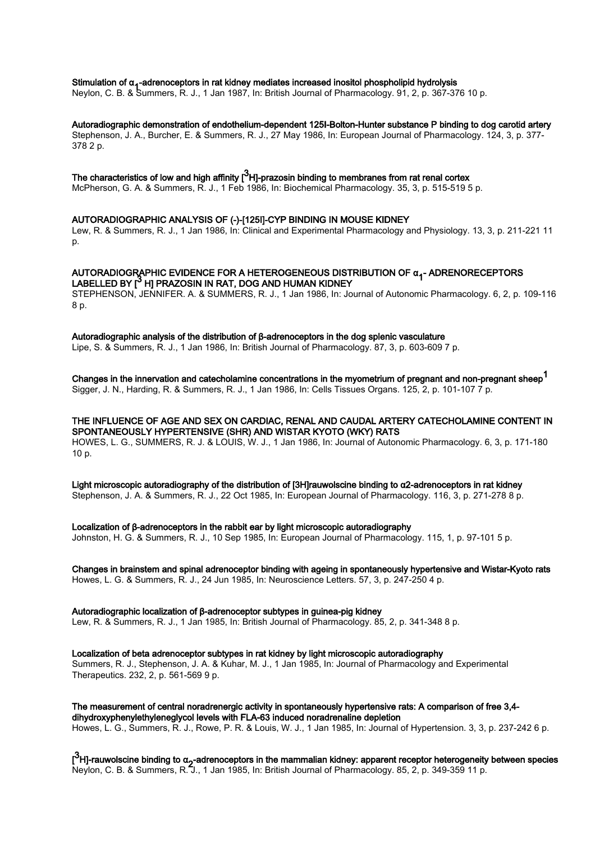## Stimulation of α<sub>1</sub>-adrenoceptors in rat kidney mediates increased inositol phospholipid hydrolysis<br>Navlas of B. 8 September - B. L. 4 Jan 4997, lex British January of Blasmace Law 24.9 st. 267, 27

Neylon, C. B. & Summers, R. J., 1 Jan 1987, In: British Journal of Pharmacology. 91, 2, p. 367-376 10 p.

#### Autoradiographic demonstration of endothelium-dependent 125I-Bolton-Hunter substance P binding to dog carotid artery

Stephenson, J. A., Burcher, E. & Summers, R. J., 27 May 1986, In: European Journal of Pharmacology. 124, 3, p. 377- 378 2 p.

## The characteristics of low and high affinity [ $^3$ H]-prazosin binding to membranes from rat renal cortex

McPherson, G. A. & Summers, R. J., 1 Feb 1986, In: Biochemical Pharmacology. 35, 3, p. 515-519 5 p.

#### AUTORADIOGRAPHIC ANALYSIS OF (‐)‐[125I]‐CYP BINDING IN MOUSE KIDNEY

Lew, R. & Summers, R. J., 1 Jan 1986, In: Clinical and Experimental Pharmacology and Physiology. 13, 3, p. 211-221 11 p.

#### AUTORADIOGRAPHIC EVIDENCE FOR A HETEROGENEOUS DISTRIBUTION OF α<sub>1</sub>- ADRENORECEPTORS<br>LARELLER BY 12 RDAZ20ULULD4T, BOO AND LILIAALI/URNEY LABELLED BY [<sup>3</sup> H] PRAZOSIN IN RAT, DOG AND HUMAN KIDNEY

STEPHENSON, JENNIFER. A. & SUMMERS, R. J., 1 Jan 1986, In: Journal of Autonomic Pharmacology. 6, 2, p. 109-116 8 p.

#### Autoradiographic analysis of the distribution of β‐adrenoceptors in the dog splenic vasculature

Lipe, S. & Summers, R. J., 1 Jan 1986, In: British Journal of Pharmacology. 87, 3, p. 603-609 7 p.

# Changes in the innervation and catecholamine concentrations in the myometrium of pregnant and non-pregnant sheep $^{\text{1}}$

Sigger, J. N., Harding, R. & Summers, R. J., 1 Jan 1986, In: Cells Tissues Organs. 125, 2, p. 101-107 7 p.

#### THE INFLUENCE OF AGE AND SEX ON CARDIAC, RENAL AND CAUDAL ARTERY CATECHOLAMINE CONTENT IN SPONTANEOUSLY HYPERTENSIVE (SHR) AND WISTAR KYOTO (WKY) RATS

HOWES, L. G., SUMMERS, R. J. & LOUIS, W. J., 1 Jan 1986, In: Journal of Autonomic Pharmacology. 6, 3, p. 171-180 10 p.

Light microscopic autoradiography of the distribution of [3H]rauwolscine binding to α2-adrenoceptors in rat kidney

Stephenson, J. A. & Summers, R. J., 22 Oct 1985, In: European Journal of Pharmacology. 116, 3, p. 271-278 8 p.

#### Localization of β-adrenoceptors in the rabbit ear by light microscopic autoradiography

Johnston, H. G. & Summers, R. J., 10 Sep 1985, In: European Journal of Pharmacology. 115, 1, p. 97-101 5 p.

#### Changes in brainstem and spinal adrenoceptor binding with ageing in spontaneously hypertensive and Wistar-Kyoto rats

Howes, L. G. & Summers, R. J., 24 Jun 1985, In: Neuroscience Letters. 57, 3, p. 247-250 4 p.

#### Autoradiographic localization of β‐adrenoceptor subtypes in guinea‐pig kidney

Lew, R. & Summers, R. J., 1 Jan 1985, In: British Journal of Pharmacology. 85, 2, p. 341-348 8 p.

Localization of beta adrenoceptor subtypes in rat kidney by light microscopic autoradiography Summers, R. J., Stephenson, J. A. & Kuhar, M. J., 1 Jan 1985, In: Journal of Pharmacology and Experimental Therapeutics. 232, 2, p. 561-569 9 p.

The measurement of central noradrenergic activity in spontaneously hypertensive rats: A comparison of free 3,4 dihydroxyphenylethyleneglycol levels with FLA-63 induced noradrenaline depletion Howes, L. G., Summers, R. J., Rowe, P. R. & Louis, W. J., 1 Jan 1985, In: Journal of Hypertension. 3, 3, p. 237-242 6 p.

[<sup>3</sup>H]-rauwolscine binding to α<sub>2</sub>-adrenoceptors in the mammalian kidney: apparent receptor heterogeneity between species<br>National C. B. 8 Commerce D. 1. 4 Jan 4995 Jan British January of Pharmaceleau OF 2 a 249.252.44 a Neylon, C. B. & Summers, R. J., 1 Jan 1985, In: British Journal of Pharmacology. 85, 2, p. 349-359 11 p.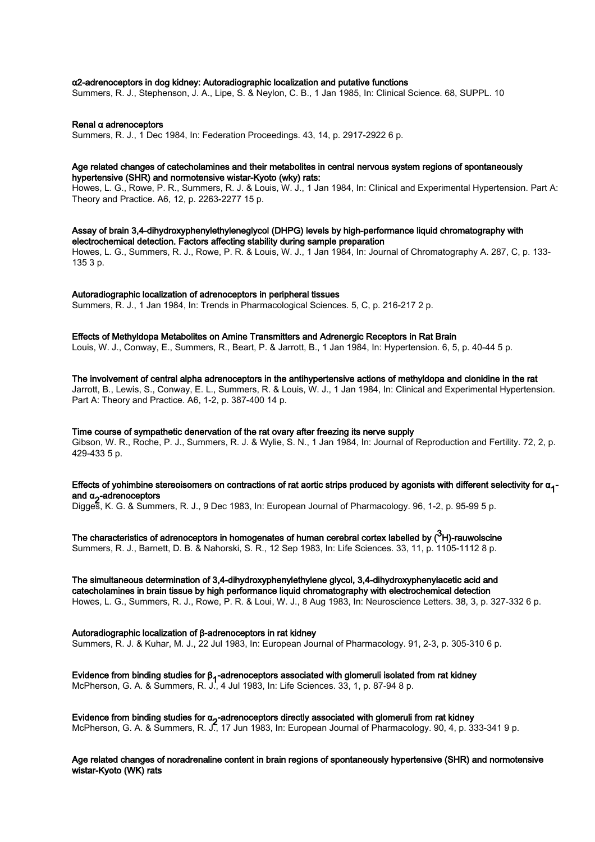#### α2-adrenoceptors in dog kidney: Autoradiographic localization and putative functions

Summers, R. J., Stephenson, J. A., Lipe, S. & Neylon, C. B., 1 Jan 1985, In: Clinical Science. 68, SUPPL. 10

#### Renal α adrenoceptors

Summers, R. J., 1 Dec 1984, In: Federation Proceedings. 43, 14, p. 2917-2922 6 p.

#### Age related changes of catecholamines and their metabolites in central nervous system regions of spontaneously hypertensive (SHR) and normotensive wistar-Kyoto (wky) rats:

Howes, L. G., Rowe, P. R., Summers, R. J. & Louis, W. J., 1 Jan 1984, In: Clinical and Experimental Hypertension. Part A: Theory and Practice. A6, 12, p. 2263-2277 15 p.

Assay of brain 3,4-dihydroxyphenylethyleneglycol (DHPG) levels by high-performance liquid chromatography with electrochemical detection. Factors affecting stability during sample preparation Howes, L. G., Summers, R. J., Rowe, P. R. & Louis, W. J., 1 Jan 1984, In: Journal of Chromatography A. 287, C, p. 133- 135 3 p.

#### Autoradiographic localization of adrenoceptors in peripheral tissues Summers, R. J., 1 Jan 1984, In: Trends in Pharmacological Sciences. 5, C, p. 216-217 2 p.

Effects of Methyldopa Metabolites on Amine Transmitters and Adrenergic Receptors in Rat Brain

Louis, W. J., Conway, E., Summers, R., Beart, P. & Jarrott, B., 1 Jan 1984, In: Hypertension. 6, 5, p. 40-44 5 p.

#### The involvement of central alpha adrenoceptors in the antihypertensive actions of methyldopa and clonidine in the rat Jarrott, B., Lewis, S., Conway, E. L., Summers, R. & Louis, W. J., 1 Jan 1984, In: Clinical and Experimental Hypertension. Part A: Theory and Practice. A6, 1-2, p. 387-400 14 p.

#### Time course of sympathetic denervation of the rat ovary after freezing its nerve supply

Gibson, W. R., Roche, P. J., Summers, R. J. & Wylie, S. N., 1 Jan 1984, In: Journal of Reproduction and Fertility. 72, 2, p. 429-433 5 p.

### Effects of yohimbine stereoisomers on contractions of rat aortic strips produced by agonists with different selectivity for α<sub>1</sub>-<br>- and as adtresseraters and α<sub>2</sub>-adrenoceptors<br>Diase2. IX © 8.0mm

Digges, K. G. & Summers, R. J., 9 Dec 1983, In: European Journal of Pharmacology. 96, 1-2, p. 95-99 5 p.

## The characteristics of adrenoceptors in homogenates of human cerebral cortex labelled by ( $^3$ H)-rauwolscine

Summers, R. J., Barnett, D. B. & Nahorski, S. R., 12 Sep 1983, In: Life Sciences. 33, 11, p. 1105-1112 8 p.

#### The simultaneous determination of 3,4-dihydroxyphenylethylene glycol, 3,4-dihydroxyphenylacetic acid and catecholamines in brain tissue by high performance liquid chromatography with electrochemical detection Howes, L. G., Summers, R. J., Rowe, P. R. & Loui, W. J., 8 Aug 1983, In: Neuroscience Letters. 38, 3, p. 327-332 6 p.

### Autoradiographic localization of β-adrenoceptors in rat kidney

Summers, R. J. & Kuhar, M. J., 22 Jul 1983, In: European Journal of Pharmacology. 91, 2-3, p. 305-310 6 p.

#### Evidence from binding studies for β<sub>1</sub>-adrenoceptors associated with glomeruli isolated from rat kidney McPherson, G. A. & Summers, R. J., 4 Jul 1983, In: Life Sciences. 33, 1, p. 87-94 8 p.

Evidence from binding studies for α<sub>2</sub>-adrenoceptors directly associated with glomeruli from rat kidney McPherson, G. A. & Summers, R. J., 17 Jun 1983, In: European Journal of Pharmacology. 90, 4, p. 333-341 9 p.

#### Age related changes of noradrenaline content in brain regions of spontaneously hypertensive (SHR) and normotensive wistar-Kyoto (WK) rats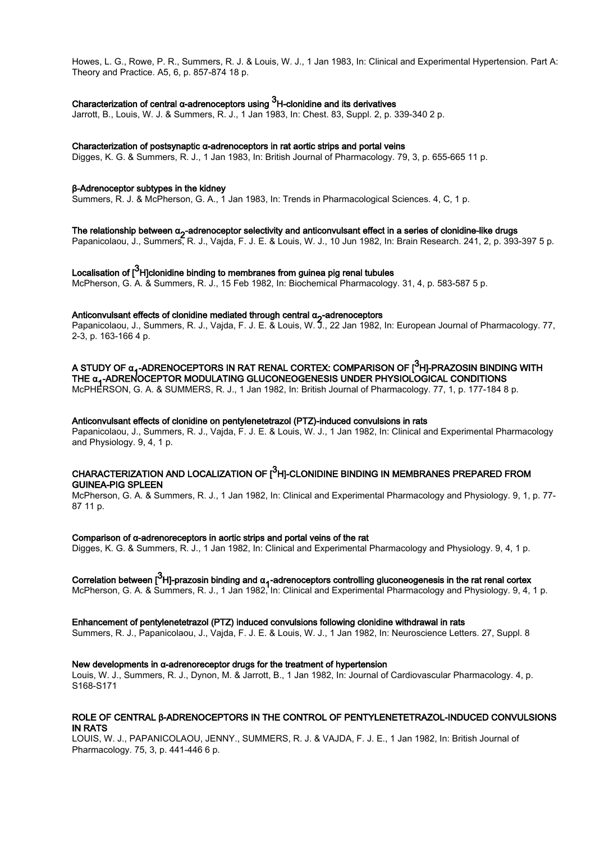Howes, L. G., Rowe, P. R., Summers, R. J. & Louis, W. J., 1 Jan 1983, In: Clinical and Experimental Hypertension. Part A: Theory and Practice. A5, 6, p. 857-874 18 p.

## Characterization of central α-adrenoceptors using  $^3$ H-clonidine and its derivatives

Jarrott, B., Louis, W. J. & Summers, R. J., 1 Jan 1983, In: Chest. 83, Suppl. 2, p. 339-340 2 p.

#### Characterization of postsynaptic α‐adrenoceptors in rat aortic strips and portal veins

Digges, K. G. & Summers, R. J., 1 Jan 1983, In: British Journal of Pharmacology. 79, 3, p. 655-665 11 p.

#### β-Adrenoceptor subtypes in the kidney

Summers, R. J. & McPherson, G. A., 1 Jan 1983, In: Trends in Pharmacological Sciences. 4, C, 1 p.

## The relationship between α<sub>2</sub>-adrenoceptor selectivity and anticonvulsant effect in a series of clonidine-like drugs<br>Descriptionship between α<sub>2</sub>-adrenoceptor selectivity and anticonvulsant effect in a serie Description 0

Papanicolaou, J., Summers, R. J., Vajda, F. J. E. & Louis, W. J., 10 Jun 1982, In: Brain Research. 241, 2, p. 393-397 5 p.

## Localisation of [ $^3$ H]clonidine binding to membranes from guinea pig renal tubules

McPherson, G. A. & Summers, R. J., 15 Feb 1982, In: Biochemical Pharmacology. 31, 4, p. 583-587 5 p.

## Anticonvulsant effects of clonidine mediated through central α<sub>2</sub>-adrenoceptors<br>Demography through company Delta Visita Entre 8 topic M/ 7 - 80 top 4000

Papanicolaou, J., Summers, R. J., Vajda, F. J. E. & Louis, W. J., 22 Jan 1982, In: European Journal of Pharmacology. 77, 2-3, p. 163-166 4 p.

A STUDY OF α<sub>1</sub>-ADRENOCEPTORS IN RAT RENAL CORTEX: COMPARISON OF [<sup>3</sup>H]-PRAZOSIN BINDING WITH<br>THE α - ADDENOCERTOR MODULATING OU ! ΩΩΝΕΩΩΕΝΕΩΩ UNDER BUXQIOL QQIQAL QQNDITIQNQ THE α<sub>1</sub>-ADRENOCEPTOR MODULATING GLUCONEOGENESIS UNDER PHYSIOLOGICAL CONDITIONS<br>Marijudecent ⊙ A -8 SUMMERS De La Jacoba De Rútich Jacoba De Rútich Jacoba De Summer La De

McPHERSON, G. A. & SUMMERS, R. J., 1 Jan 1982, In: British Journal of Pharmacology. 77, 1, p. 177-184 8 p.

#### Anticonvulsant effects of clonidine on pentylenetetrazol (PTZ)-induced convulsions in rats

Papanicolaou, J., Summers, R. J., Vajda, F. J. E. & Louis, W. J., 1 Jan 1982, In: Clinical and Experimental Pharmacology and Physiology. 9, 4, 1 p.

## CHARACTERIZATION AND LOCALIZATION OF  $\mathfrak l^3$ H]-CLONIDINE BINDING IN MEMBRANES PREPARED FROM GUINEA‐PIG SPLEEN

McPherson, G. A. & Summers, R. J., 1 Jan 1982, In: Clinical and Experimental Pharmacology and Physiology. 9, 1, p. 77- 87 11 p.

#### Comparison of α-adrenoreceptors in aortic strips and portal veins of the rat

Digges, K. G. & Summers, R. J., 1 Jan 1982, In: Clinical and Experimental Pharmacology and Physiology. 9, 4, 1 p.

# Correlation between [<sup>3</sup>H]-prazosin binding and α<sub>1</sub>-adrenoceptors controlling gluconeogenesis in the rat renal cortex<br>MaRhaman Gundal Cumman Dubut de la de Clinical and Functional Pharmacal and Pharmacal Pharidema Qu

McPherson, G. A. & Summers, R. J., 1 Jan 1982, In: Clinical and Experimental Pharmacology and Physiology. 9, 4, 1 p.

#### Enhancement of pentylenetetrazol (PTZ) induced convulsions following clonidine withdrawal in rats

Summers, R. J., Papanicolaou, J., Vajda, F. J. E. & Louis, W. J., 1 Jan 1982, In: Neuroscience Letters. 27, Suppl. 8

#### New developments in α-adrenoreceptor drugs for the treatment of hypertension

Louis, W. J., Summers, R. J., Dynon, M. & Jarrott, B., 1 Jan 1982, In: Journal of Cardiovascular Pharmacology. 4, p. S168-S171

#### ROLE OF CENTRAL β‐ADRENOCEPTORS IN THE CONTROL OF PENTYLENETETRAZOL‐INDUCED CONVULSIONS IN RATS

LOUIS, W. J., PAPANICOLAOU, JENNY., SUMMERS, R. J. & VAJDA, F. J. E., 1 Jan 1982, In: British Journal of Pharmacology. 75, 3, p. 441-446 6 p.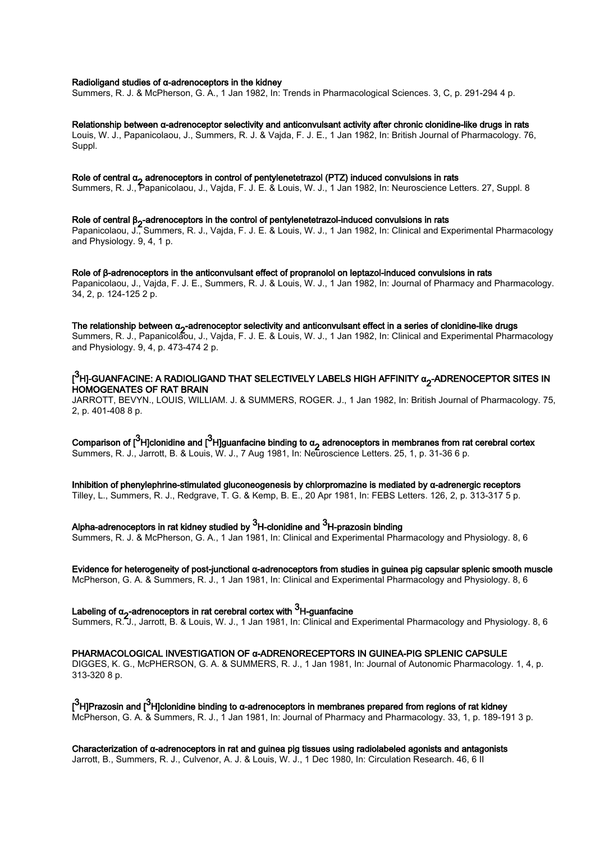#### Radioligand studies of α-adrenoceptors in the kidney

Summers, R. J. & McPherson, G. A., 1 Jan 1982, In: Trends in Pharmacological Sciences. 3, C, p. 291-294 4 p.

#### Relationship between α-adrenoceptor selectivity and anticonvulsant activity after chronic clonidine-like drugs in rats

Louis, W. J., Papanicolaou, J., Summers, R. J. & Vajda, F. J. E., 1 Jan 1982, In: British Journal of Pharmacology. 76, Suppl.

## Role of central α<sub>2</sub> adrenoceptors in control of pentylenetetrazol (PTZ) induced convulsions in rats<br>Currences Del Demonische verbaltet in Veide End En<sup>d</sup> Livris W. Let demography Naumenians des

Summers, R. J., Papanicolaou, J., Vajda, F. J. E. & Louis, W. J., 1 Jan 1982, In: Neuroscience Letters. 27, Suppl. 8

## Role of central β<sub>2</sub>-adrenoceptors in the control of pentylenetetrazol-induced convulsions in rats<br>Demography 12 Currences: D. L. Veide E. L.E. 8 Lavis VV L.4 Lav 4000 Jac Olivias Lav E.

Papanicolaou, J., Summers, R. J., Vajda, F. J. E. & Louis, W. J., 1 Jan 1982, In: Clinical and Experimental Pharmacology and Physiology. 9, 4, 1 p.

Role of β-adrenoceptors in the anticonvulsant effect of propranolol on leptazol-induced convulsions in rats Papanicolaou, J., Vajda, F. J. E., Summers, R. J. & Louis, W. J., 1 Jan 1982, In: Journal of Pharmacy and Pharmacology. 34, 2, p. 124-125 2 p.

## The relationship between α<sub>2</sub>-adrenoceptor selectivity and anticonvulsant effect in a series of clonidine-like drugs<br>Currence Dela Demonia Live of Maila End E. S. Live of Live 4 Jan 4000 Jan Oliviazi and Europineertal Dia

Summers, R. J., Papanicolaou, J., Vajda, F. J. E. & Louis, W. J., 1 Jan 1982, In: Clinical and Experimental Pharmacology and Physiology. 9, 4, p. 473-474 2 p.

#### [<sup>3</sup>H]-GUANFACINE: A RADIOLIGAND THAT SELECTIVELY LABELS HIGH AFFINITY α<sub>2</sub>-ADRENOCEPTOR SITES IN<br>LIQUOGENATES OF BAT RRAIN HOMOGENATES OF RAT BRAIN

JARROTT, BEVYN., LOUIS, WILLIAM. J. & SUMMERS, ROGER. J., 1 Jan 1982, In: British Journal of Pharmacology. 75, 2, p. 401-408 8 p.

Comparison of [<sup>3</sup>H]clonidine and [<sup>3</sup>H]guanfacine binding to  $a_2$  adrenoceptors in membranes from rat cerebral cortex Summers, R. J., Jarrott, B. & Louis, W. J., 7 Aug 1981, In: Neuroscience Letters. 25, 1, p. 31-36 6 p.

Inhibition of phenylephrine-stimulated gluconeogenesis by chlorpromazine is mediated by α-adrenergic receptors Tilley, L., Summers, R. J., Redgrave, T. G. & Kemp, B. E., 20 Apr 1981, In: FEBS Letters. 126, 2, p. 313-317 5 p.

Alpha-adrenoceptors in rat kidney studied by  $^3$ H-clonidine and  $^3$ H-prazosin binding

Summers, R. J. & McPherson, G. A., 1 Jan 1981, In: Clinical and Experimental Pharmacology and Physiology. 8, 6

#### Evidence for heterogeneity of post-junctional α-adrenoceptors from studies in guinea pig capsular splenic smooth muscle

McPherson, G. A. & Summers, R. J., 1 Jan 1981, In: Clinical and Experimental Pharmacology and Physiology. 8, 6

## Labeling of  $a_2$ -adrenoceptors in rat cerebral cortex with  $^3$ H-guanfacine

Summers, R. J., Jarrott, B. & Louis, W. J., 1 Jan 1981, In: Clinical and Experimental Pharmacology and Physiology. 8, 6

#### PHARMACOLOGICAL INVESTIGATION OF α‐ADRENORECEPTORS IN GUINEA‐PIG SPLENIC CAPSULE

DIGGES, K. G., McPHERSON, G. A. & SUMMERS, R. J., 1 Jan 1981, In: Journal of Autonomic Pharmacology. 1, 4, p. 313-320 8 p.

[<sup>3</sup>H]Prazosin and [<sup>3</sup>H]clonidine binding to α-adrenoceptors in membranes prepared from regions of rat kidney McPherson, G. A. & Summers, R. J., 1 Jan 1981, In: Journal of Pharmacy and Pharmacology. 33, 1, p. 189-191 3 p.

Characterization of α-adrenoceptors in rat and guinea pig tissues using radiolabeled agonists and antagonists Jarrott, B., Summers, R. J., Culvenor, A. J. & Louis, W. J., 1 Dec 1980, In: Circulation Research. 46, 6 II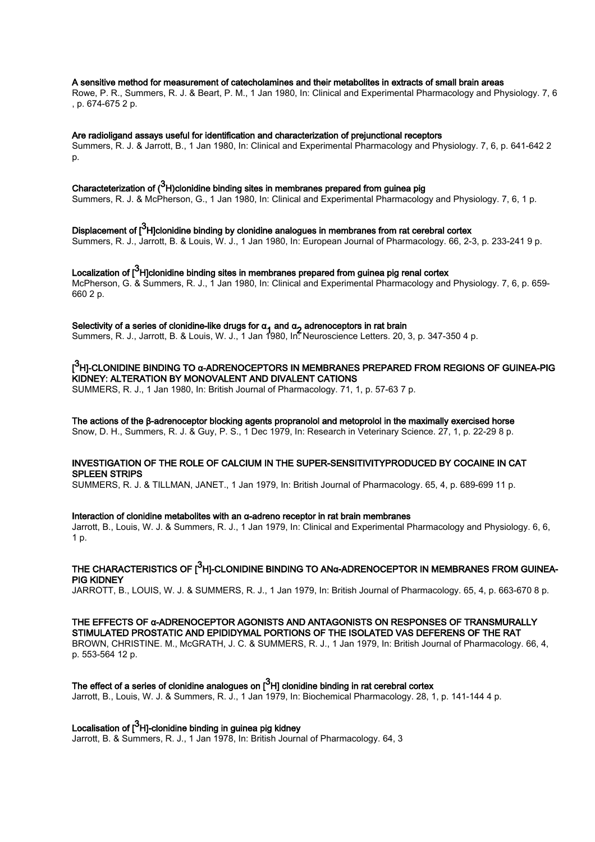#### A sensitive method for measurement of catecholamines and their metabolites in extracts of small brain areas

Rowe, P. R., Summers, R. J. & Beart, P. M., 1 Jan 1980, In: Clinical and Experimental Pharmacology and Physiology. 7, 6 , p. 674-675 2 p.

#### Are radioligand assays useful for identification and characterization of prejunctional receptors

Summers, R. J. & Jarrott, B., 1 Jan 1980, In: Clinical and Experimental Pharmacology and Physiology. 7, 6, p. 641-642 2 p.

## Characteterization of ( $^3$ H)clonidine binding sites in membranes prepared from guinea pig

Summers, R. J. & McPherson, G., 1 Jan 1980, In: Clinical and Experimental Pharmacology and Physiology. 7, 6, 1 p.

Displacement of [ $^3$ H]clonidine binding by clonidine analogues in membranes from rat cerebral cortex Summers, R. J., Jarrott, B. & Louis, W. J., 1 Jan 1980, In: European Journal of Pharmacology. 66, 2-3, p. 233-241 9 p.

Localization of [ $^3$ H]clonidine binding sites in membranes prepared from guinea pig renal cortex McPherson, G. & Summers, R. J., 1 Jan 1980, In: Clinical and Experimental Pharmacology and Physiology. 7, 6, p. 659- 660 2 p.

## Selectivity of a series of clonidine-like drugs for  $\alpha_1$  and  $\alpha_2$  adrenoceptors in rat brain

Summers, R. J., Jarrott, B. & Louis, W. J., 1 Jan 1980, In: Neuroscience Letters. 20, 3, p. 347-350 4 p.

### [<sup>3</sup>H]-CLONIDINE BINDING TO α-ADRENOCEPTORS IN MEMBRANES PREPARED FROM REGIONS OF GUINEA-PIG KIDNEY: ALTERATION BY MONOVALENT AND DIVALENT CATIONS

SUMMERS, R. J., 1 Jan 1980, In: British Journal of Pharmacology. 71, 1, p. 57-63 7 p.

#### The actions of the β-adrenoceptor blocking agents propranolol and metoprolol in the maximally exercised horse

Snow, D. H., Summers, R. J. & Guy, P. S., 1 Dec 1979, In: Research in Veterinary Science. 27, 1, p. 22-29 8 p.

#### INVESTIGATION OF THE ROLE OF CALCIUM IN THE SUPER‐SENSITIVITYPRODUCED BY COCAINE IN CAT SPLEEN STRIPS

SUMMERS, R. J. & TILLMAN, JANET., 1 Jan 1979, In: British Journal of Pharmacology. 65, 4, p. 689-699 11 p.

#### Interaction of clonidine metabolites with an α-adreno receptor in rat brain membranes

Jarrott, B., Louis, W. J. & Summers, R. J., 1 Jan 1979, In: Clinical and Experimental Pharmacology and Physiology. 6, 6, 1 p.

## THE CHARACTERISTICS OF  $[{}^3$ H]-CLONIDINE BINDING TO ANα-ADRENOCEPTOR IN MEMBRANES FROM GUINEA-PIG KIDNEY

JARROTT, B., LOUIS, W. J. & SUMMERS, R. J., 1 Jan 1979, In: British Journal of Pharmacology. 65, 4, p. 663-670 8 p.

#### THE EFFECTS OF α‐ADRENOCEPTOR AGONISTS AND ANTAGONISTS ON RESPONSES OF TRANSMURALLY STIMULATED PROSTATIC AND EPIDIDYMAL PORTIONS OF THE ISOLATED VAS DEFERENS OF THE RAT

BROWN, CHRISTINE. M., McGRATH, J. C. & SUMMERS, R. J., 1 Jan 1979, In: British Journal of Pharmacology. 66, 4, p. 553-564 12 p.

## The effect of a series of clonidine analogues on  $[^3H]$  clonidine binding in rat cerebral cortex

Jarrott, B., Louis, W. J. & Summers, R. J., 1 Jan 1979, In: Biochemical Pharmacology. 28, 1, p. 141-144 4 p.

## Localisation of [ $^3$ H]-clonidine binding in guinea pig kidney

Jarrott, B. & Summers, R. J., 1 Jan 1978, In: British Journal of Pharmacology. 64, 3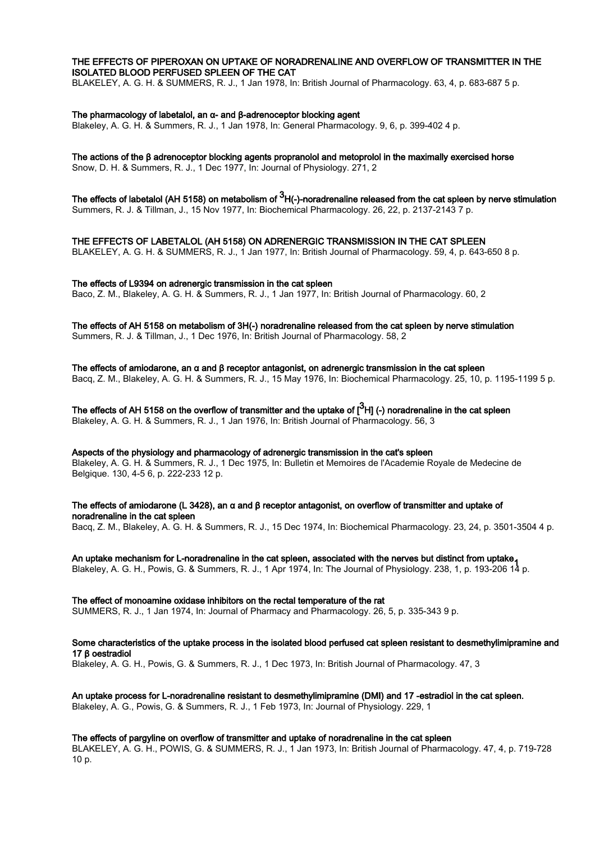#### THE EFFECTS OF PIPEROXAN ON UPTAKE OF NORADRENALINE AND OVERFLOW OF TRANSMITTER IN THE ISOLATED BLOOD PERFUSED SPLEEN OF THE CAT

BLAKELEY, A. G. H. & SUMMERS, R. J., 1 Jan 1978, In: British Journal of Pharmacology. 63, 4, p. 683-687 5 p.

#### The pharmacology of labetalol, an α- and β-adrenoceptor blocking agent

Blakeley, A. G. H. & Summers, R. J., 1 Jan 1978, In: General Pharmacology. 9, 6, p. 399-402 4 p.

#### The actions of the β adrenoceptor blocking agents propranolol and metoprolol in the maximally exercised horse

Snow, D. H. & Summers, R. J., 1 Dec 1977, In: Journal of Physiology. 271, 2

The effects of labetalol (AH 5158) on metabolism of  $^3$ H(-)-noradrenaline released from the cat spleen by nerve stimulation Summers, R. J. & Tillman, J., 15 Nov 1977, In: Biochemical Pharmacology. 26, 22, p. 2137-2143 7 p.

THE EFFECTS OF LABETALOL (AH 5158) ON ADRENERGIC TRANSMISSION IN THE CAT SPLEEN

BLAKELEY, A. G. H. & SUMMERS, R. J., 1 Jan 1977, In: British Journal of Pharmacology. 59, 4, p. 643-650 8 p.

#### The effects of L9394 on adrenergic transmission in the cat spleen

Baco, Z. M., Blakeley, A. G. H. & Summers, R. J., 1 Jan 1977, In: British Journal of Pharmacology. 60, 2

The effects of AH 5158 on metabolism of 3H(-) noradrenaline released from the cat spleen by nerve stimulation Summers, R. J. & Tillman, J., 1 Dec 1976, In: British Journal of Pharmacology. 58, 2

The effects of amiodarone, an  $\alpha$  and  $\beta$  receptor antagonist, on adrenergic transmission in the cat spleen Bacq, Z. M., Blakeley, A. G. H. & Summers, R. J., 15 May 1976, In: Biochemical Pharmacology. 25, 10, p. 1195-1199 5 p.

The effects of AH 5158 on the overflow of transmitter and the uptake of [ $^3$ H] (-) noradrenaline in the cat spleen Blakeley, A. G. H. & Summers, R. J., 1 Jan 1976, In: British Journal of Pharmacology. 56, 3

Aspects of the physiology and pharmacology of adrenergic transmission in the cat's spleen Blakeley, A. G. H. & Summers, R. J., 1 Dec 1975, In: Bulletin et Memoires de l'Academie Royale de Medecine de Belgique. 130, 4-5 6, p. 222-233 12 p.

The effects of amiodarone (L 3428), an α and β receptor antagonist, on overflow of transmitter and uptake of noradrenaline in the cat spleen

Bacq, Z. M., Blakeley, A. G. H. & Summers, R. J., 15 Dec 1974, In: Biochemical Pharmacology. 23, 24, p. 3501-3504 4 p.

An uptake mechanism for L-noradrenaline in the cat spleen, associated with the nerves but distinct from uptake, Blakeley, A. G. H., Powis, G. & Summers, R. J., 1 Apr 1974, In: The Journal of Physiology. 238, 1, p. 193-206 14 p.

The effect of monoamine oxidase inhibitors on the rectal temperature of the rat SUMMERS, R. J., 1 Jan 1974, In: Journal of Pharmacy and Pharmacology. 26, 5, p. 335-343 9 p.

### Some characteristics of the uptake process in the isolated blood perfused cat spleen resistant to desmethylimipramine and 17 β oestradiol

Blakeley, A. G. H., Powis, G. & Summers, R. J., 1 Dec 1973, In: British Journal of Pharmacology. 47, 3

An uptake process for L-noradrenaline resistant to desmethylimipramine (DMI) and 17 -estradiol in the cat spleen. Blakeley, A. G., Powis, G. & Summers, R. J., 1 Feb 1973, In: Journal of Physiology. 229, 1

#### The effects of pargyline on overflow of transmitter and uptake of noradrenaline in the cat spleen

BLAKELEY, A. G. H., POWIS, G. & SUMMERS, R. J., 1 Jan 1973, In: British Journal of Pharmacology. 47, 4, p. 719-728 10 p.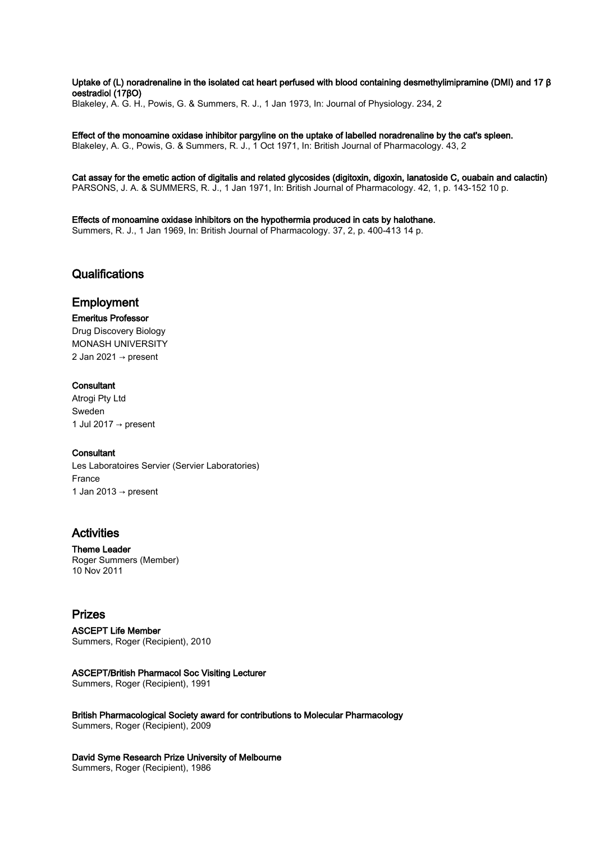Uptake of (L) noradrenaline in the isolated cat heart perfused with blood containing desmethylimipramine (DMI) and 17 β oestradiol (17βO) Blakeley, A. G. H., Powis, G. & Summers, R. J., 1 Jan 1973, In: Journal of Physiology. 234, 2

Effect of the monoamine oxidase inhibitor pargyline on the uptake of labelled noradrenaline by the cat's spleen. Blakeley, A. G., Powis, G. & Summers, R. J., 1 Oct 1971, In: British Journal of Pharmacology. 43, 2

Cat assay for the emetic action of digitalis and related glycosides (digitoxin, digoxin, lanatoside C, ouabain and calactin) PARSONS, J. A. & SUMMERS, R. J., 1 Jan 1971, In: British Journal of Pharmacology. 42, 1, p. 143-152 10 p.

Effects of monoamine oxidase inhibitors on the hypothermia produced in cats by halothane. Summers, R. J., 1 Jan 1969, In: British Journal of Pharmacology. 37, 2, p. 400-413 14 p.

### **Qualifications**

## Employment

#### Emeritus Professor

Drug Discovery Biology MONASH UNIVERSITY 2 Jan 2021  $\rightarrow$  present

#### **Consultant**

Atrogi Pty Ltd Sweden 1 Jul 2017  $\rightarrow$  present

#### **Consultant**

Les Laboratoires Servier (Servier Laboratories) France 1 Jan 2013  $\rightarrow$  present

## Activities

Theme Leader Roger Summers (Member) 10 Nov 2011

## Prizes

### ASCEPT Life Member

Summers, Roger (Recipient), 2010

#### ASCEPT/British Pharmacol Soc Visiting Lecturer

Summers, Roger (Recipient), 1991

British Pharmacological Society award for contributions to Molecular Pharmacology Summers, Roger (Recipient), 2009

#### David Syme Research Prize University of Melbourne

Summers, Roger (Recipient), 1986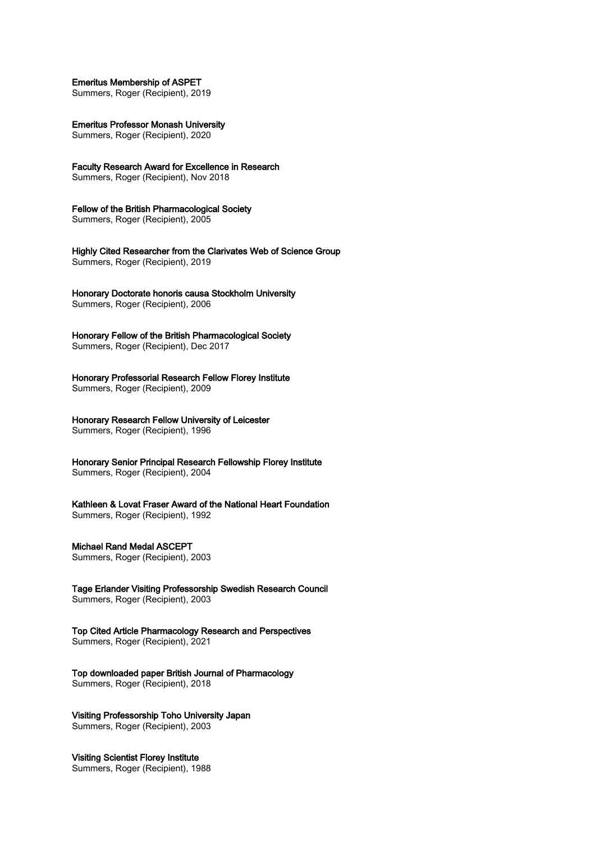#### Emeritus Membership of ASPET

Summers, Roger (Recipient), 2019

Emeritus Professor Monash University

Summers, Roger (Recipient), 2020

Faculty Research Award for Excellence in Research Summers, Roger (Recipient), Nov 2018

## Fellow of the British Pharmacological Society

Summers, Roger (Recipient), 2005

Highly Cited Researcher from the Clarivates Web of Science Group Summers, Roger (Recipient), 2019

Honorary Doctorate honoris causa Stockholm University Summers, Roger (Recipient), 2006

Honorary Fellow of the British Pharmacological Society Summers, Roger (Recipient), Dec 2017

Honorary Professorial Research Fellow Florey Institute Summers, Roger (Recipient), 2009

Honorary Research Fellow University of Leicester Summers, Roger (Recipient), 1996

Honorary Senior Principal Research Fellowship Florey Institute Summers, Roger (Recipient), 2004

Kathleen & Lovat Fraser Award of the National Heart Foundation Summers, Roger (Recipient), 1992

#### Michael Rand Medal ASCEPT

Summers, Roger (Recipient), 2003

Tage Erlander Visiting Professorship Swedish Research Council Summers, Roger (Recipient), 2003

Top Cited Article Pharmacology Research and Perspectives Summers, Roger (Recipient), 2021

Top downloaded paper British Journal of Pharmacology Summers, Roger (Recipient), 2018

## Visiting Professorship Toho University Japan

Summers, Roger (Recipient), 2003

#### Visiting Scientist Florey Institute

Summers, Roger (Recipient), 1988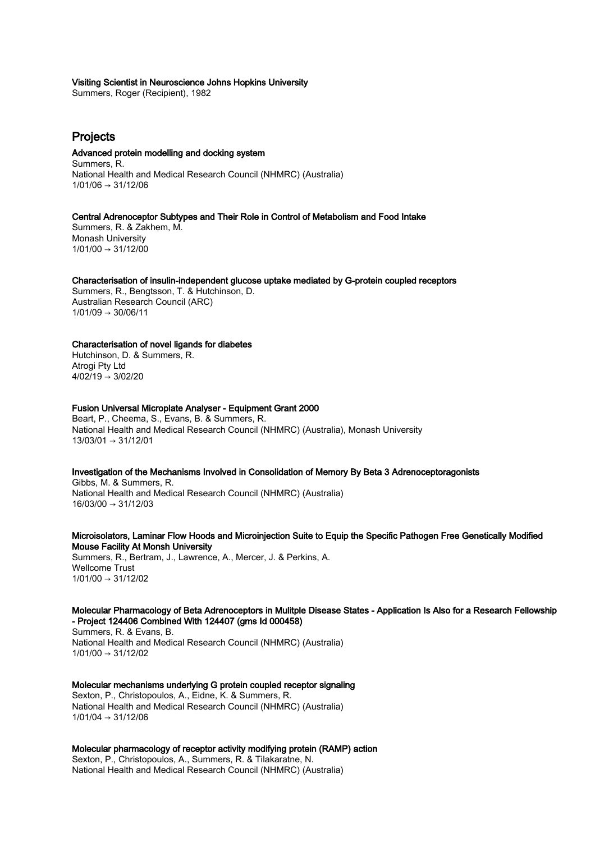#### Visiting Scientist in Neuroscience Johns Hopkins University

Summers, Roger (Recipient), 1982

## Projects

#### Advanced protein modelling and docking system

Summers, R. National Health and Medical Research Council (NHMRC) (Australia)  $1/01/06 \rightarrow 31/12/06$ 

#### Central Adrenoceptor Subtypes and Their Role in Control of Metabolism and Food Intake

Summers, R. & Zakhem, M. Monash University  $1/01/00 \rightarrow 31/12/00$ 

#### Characterisation of insulin-independent glucose uptake mediated by G-protein coupled receptors

Summers, R., Bengtsson, T. & Hutchinson, D. Australian Research Council (ARC)  $1/01/09 \rightarrow 30/06/11$ 

#### Characterisation of novel ligands for diabetes

Hutchinson, D. & Summers, R. Atrogi Pty Ltd  $4/02/19 \rightarrow 3/02/20$ 

#### Fusion Universal Microplate Analyser - Equipment Grant 2000

Beart, P., Cheema, S., Evans, B. & Summers, R. National Health and Medical Research Council (NHMRC) (Australia), Monash University 13/03/01 → 31/12/01

#### Investigation of the Mechanisms Involved in Consolidation of Memory By Beta 3 Adrenoceptoragonists

Gibbs, M. & Summers, R. National Health and Medical Research Council (NHMRC) (Australia) 16/03/00 → 31/12/03

Microisolators, Laminar Flow Hoods and Microinjection Suite to Equip the Specific Pathogen Free Genetically Modified Mouse Facility At Monsh University

Summers, R., Bertram, J., Lawrence, A., Mercer, J. & Perkins, A. Wellcome Trust 1/01/00 → 31/12/02

#### Molecular Pharmacology of Beta Adrenoceptors in Mulitple Disease States - Application Is Also for a Research Fellowship - Project 124406 Combined With 124407 (gms Id 000458)

Summers, R. & Evans, B. National Health and Medical Research Council (NHMRC) (Australia)  $1/01/00 \rightarrow 31/12/02$ 

Molecular mechanisms underlying G protein coupled receptor signaling Sexton, P., Christopoulos, A., Eidne, K. & Summers, R. National Health and Medical Research Council (NHMRC) (Australia) 1/01/04 → 31/12/06

Molecular pharmacology of receptor activity modifying protein (RAMP) action Sexton, P., Christopoulos, A., Summers, R. & Tilakaratne, N. National Health and Medical Research Council (NHMRC) (Australia)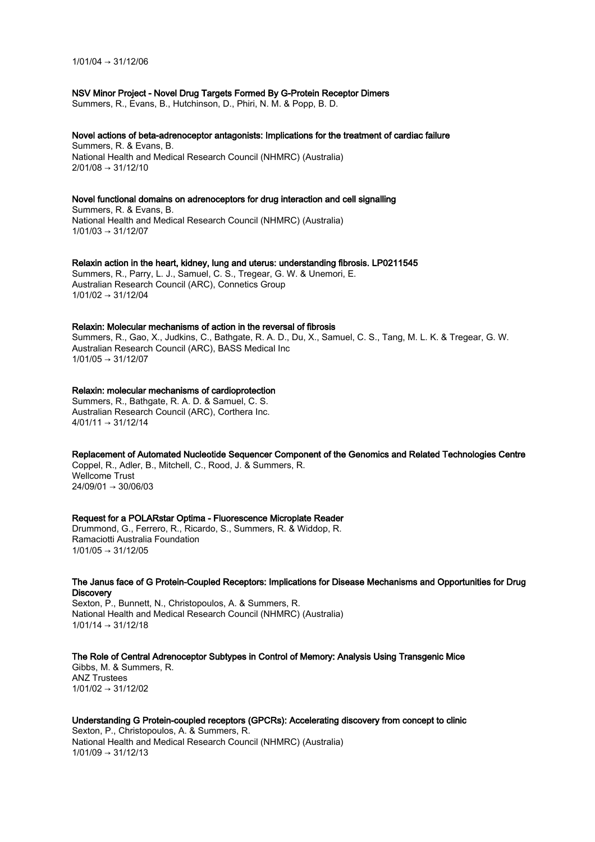1/01/04 → 31/12/06

#### NSV Minor Project - Novel Drug Targets Formed By G-Protein Receptor Dimers

Summers, R., Evans, B., Hutchinson, D., Phiri, N. M. & Popp, B. D.

#### Novel actions of beta-adrenoceptor antagonists: Implications for the treatment of cardiac failure

Summers, R. & Evans, B. National Health and Medical Research Council (NHMRC) (Australia)  $2/01/08 \rightarrow 31/12/10$ 

#### Novel functional domains on adrenoceptors for drug interaction and cell signalling

Summers, R. & Evans, B. National Health and Medical Research Council (NHMRC) (Australia)  $1/01/03 \rightarrow 31/12/07$ 

#### Relaxin action in the heart, kidney, lung and uterus: understanding fibrosis. LP0211545

Summers, R., Parry, L. J., Samuel, C. S., Tregear, G. W. & Unemori, E. Australian Research Council (ARC), Connetics Group  $1/01/02 \rightarrow 31/12/04$ 

#### Relaxin: Molecular mechanisms of action in the reversal of fibrosis

Summers, R., Gao, X., Judkins, C., Bathgate, R. A. D., Du, X., Samuel, C. S., Tang, M. L. K. & Tregear, G. W. Australian Research Council (ARC), BASS Medical Inc  $1/01/05 \rightarrow 31/12/07$ 

#### Relaxin: molecular mechanisms of cardioprotection

Summers, R., Bathgate, R. A. D. & Samuel, C. S. Australian Research Council (ARC), Corthera Inc.  $4/01/11 \rightarrow 31/12/14$ 

Replacement of Automated Nucleotide Sequencer Component of the Genomics and Related Technologies Centre Coppel, R., Adler, B., Mitchell, C., Rood, J. & Summers, R. Wellcome Trust 24/09/01 → 30/06/03

#### Request for a POLARstar Optima - Fluorescence Microplate Reader

Drummond, G., Ferrero, R., Ricardo, S., Summers, R. & Widdop, R. Ramaciotti Australia Foundation  $1/01/05 \rightarrow 31/12/05$ 

#### The Janus face of G Protein-Coupled Receptors: Implications for Disease Mechanisms and Opportunities for Drug **Discovery**

Sexton, P., Bunnett, N., Christopoulos, A. & Summers, R. National Health and Medical Research Council (NHMRC) (Australia)  $1/01/14 \rightarrow 31/12/18$ 

The Role of Central Adrenoceptor Subtypes in Control of Memory: Analysis Using Transgenic Mice

Gibbs, M. & Summers, R. ANZ Trustees  $1/01/02 \rightarrow 31/12/02$ 

#### Understanding G Protein-coupled receptors (GPCRs): Accelerating discovery from concept to clinic

Sexton, P., Christopoulos, A. & Summers, R. National Health and Medical Research Council (NHMRC) (Australia)  $1/01/09 \rightarrow 31/12/13$